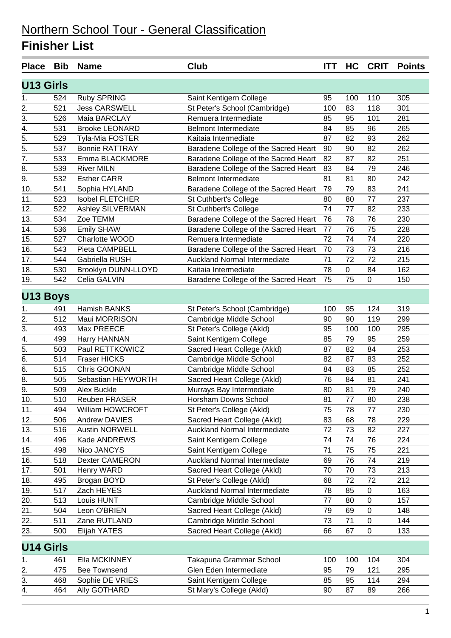| <b>Place</b>     | <b>Bib</b> | <b>Name</b>            | <b>Club</b>                          | <b>ITT</b> | HC        | <b>CRIT</b> | <b>Points</b> |
|------------------|------------|------------------------|--------------------------------------|------------|-----------|-------------|---------------|
| <b>U13 Girls</b> |            |                        |                                      |            |           |             |               |
| 1.               | 524        | <b>Ruby SPRING</b>     | Saint Kentigern College              | 95         | 100       | 110         | 305           |
| $\overline{2}$ . | 521        | <b>Jess CARSWELL</b>   | St Peter's School (Cambridge)        | 100        | 83        | 118         | 301           |
| 3.               | 526        | Maia BARCLAY           | Remuera Intermediate                 | 85         | 95        | 101         | 281           |
| $\overline{4}$ . | 531        | <b>Brooke LEONARD</b>  | <b>Belmont Intermediate</b>          | 84         | 85        | 96          | 265           |
| $\overline{5}$ . | 529        | Tyla-Mia FOSTER        | Kaitaia Intermediate                 | 87         | 82        | 93          | 262           |
| $\overline{5}$ . | 537        | <b>Bonnie RATTRAY</b>  | Baradene College of the Sacred Heart | 90         | 90        | 82          | 262           |
| 7.               | 533        | Emma BLACKMORE         | Baradene College of the Sacred Heart | 82         | 87        | 82          | 251           |
| 8.               | 539        | <b>River MILN</b>      | Baradene College of the Sacred Heart | 83         | 84        | 79          | 246           |
| $\overline{9}$ . | 532        | <b>Esther CARR</b>     | <b>Belmont Intermediate</b>          | 81         | 81        | 80          | 242           |
| 10.              | 541        | Sophia HYLAND          | Baradene College of the Sacred Heart | 79         | 79        | 83          | 241           |
| 11.              | 523        | <b>Isobel FLETCHER</b> | St Cuthbert's College                | 80         | 80        | 77          | 237           |
| 12.              | 522        | Ashley SILVERMAN       | St Cuthbert's College                | 74         | 77        | 82          | 233           |
| 13.              | 534        | Zoe TEMM               | Baradene College of the Sacred Heart | 76         | 78        | 76          | 230           |
| 14.              | 536        | <b>Emily SHAW</b>      | Baradene College of the Sacred Heart | 77         | 76        | 75          | 228           |
| 15.              | 527        | Charlotte WOOD         | Remuera Intermediate                 | 72         | 74        | 74          | 220           |
| 16.              | 543        | Pieta CAMPBELL         | Baradene College of the Sacred Heart | 70         | 73        | 73          | 216           |
| 17.              | 544        | Gabriella RUSH         | <b>Auckland Normal Intermediate</b>  | 71         | 72        | 72          | 215           |
| 18.              | 530        | Brooklyn DUNN-LLOYD    | Kaitaia Intermediate                 | 78         | $\pmb{0}$ | 84          | 162           |
| 19.              | 542        | Celia GALVIN           | Baradene College of the Sacred Heart | 75         | 75        | 0           | 150           |
| <b>U13 Boys</b>  |            |                        |                                      |            |           |             |               |
| 1.               | 491        | Hamish BANKS           | St Peter's School (Cambridge)        | 100        | 95        | 124         | 319           |
| 2.               | 512        | Maui MORRISON          | Cambridge Middle School              | 90         | 90        | 119         | 299           |
| 3.               | 493        | Max PREECE             | St Peter's College (Akld)            | 95         | 100       | 100         | 295           |
| $\overline{4}$ . | 499        | Harry HANNAN           | Saint Kentigern College              | 85         | 79        | 95          | 259           |
| $\overline{5}$ . | 503        | Paul RETTKOWICZ        | Sacred Heart College (Akld)          | 87         | 82        | 84          | 253           |
| 6.               | 514        | Fraser HICKS           | Cambridge Middle School              | 82         | 87        | 83          | 252           |
| 6.               | 515        | Chris GOONAN           | Cambridge Middle School              | 84         | 83        | 85          | 252           |
| $\overline{8}$ . | 505        | Sebastian HEYWORTH     | Sacred Heart College (Akld)          | 76         | 84        | 81          | 241           |
| $\overline{9}$ . | 509        | Alex Buckle            | Murrays Bay Intermediate             | 80         | 81        | 79          | 240           |
| 10.              | 510        | Reuben FRASER          | Horsham Downs School                 | 81         | 77        | 80          | 238           |
| 11.              | 494        | William HOWCROFT       | St Peter's College (Akld)            | 75         | 78        | 77          | 230           |
| 12.              | 506        | Andrew DAVIES          | Sacred Heart College (Akld)          | 83         | 68        | 78          | 229           |
| 13.              | 516        | <b>Austin NORWELL</b>  | <b>Auckland Normal Intermediate</b>  | 72         | 73        | 82          | 227           |
| 14.              | 496        | Kade ANDREWS           | Saint Kentigern College              | 74         | 74        | 76          | 224           |
| 15.              | 498        | Nico JANCYS            | Saint Kentigern College              | 71         | 75        | 75          | 221           |
| 16.              | 518        | Dexter CAMERON         | Auckland Normal Intermediate         | 69         | 76        | 74          | 219           |
| 17.              | 501        | Henry WARD             | Sacred Heart College (Akld)          | 70         | 70        | 73          | 213           |
| 18.              | 495        | Brogan BOYD            | St Peter's College (Akld)            | 68         | 72        | 72          | 212           |
| 19.              | 517        | Zach HEYES             | Auckland Normal Intermediate         | 78         | 85        | 0           | 163           |
| 20.              | 513        | Louis HUNT             | Cambridge Middle School              | 77         | 80        | 0           | 157           |
| 21.              | 504        | Leon O'BRIEN           | Sacred Heart College (Akld)          | 79         | 69        | 0           | 148           |
| 22.              | 511        | Zane RUTLAND           | Cambridge Middle School              | 73         | 71        | 0           | 144           |
| 23.              | 500        | Elijah YATES           | Sacred Heart College (Akld)          | 66         | 67        | 0           | 133           |
| <b>U14 Girls</b> |            |                        |                                      |            |           |             |               |
| 1.               | 461        | Ella MCKINNEY          | Takapuna Grammar School              | 100        | 100       | 104         | 304           |
| 2.               | 475        | <b>Bee Townsend</b>    | Glen Eden Intermediate               | 95         | 79        | 121         | 295           |
| 3.               | 468        | Sophie DE VRIES        | Saint Kentigern College              | 85         | 95        | 114         | 294           |
| 4.               | 464        | Ally GOTHARD           | St Mary's College (Akld)             | 90         | 87        | 89          | 266           |
|                  |            |                        |                                      |            |           |             |               |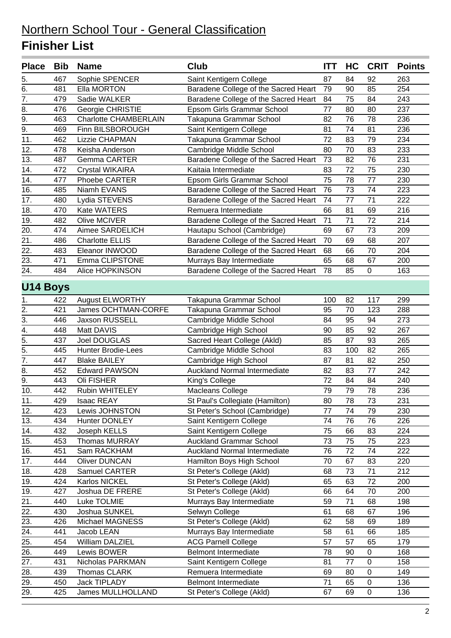| 467<br>Sophie SPENCER<br>263<br>5.<br>Saint Kentigern College<br>87<br>84<br>92<br>254<br>6.<br>481<br>Ella MORTON<br>Baradene College of the Sacred Heart<br>79<br>90<br>85<br>7.<br>479<br>Sadie WALKER<br>Baradene College of the Sacred Heart<br>75<br>84<br>243<br>84<br>8.<br>77<br>237<br>476<br>Georgie CHRISTIE<br>Epsom Girls Grammar School<br>80<br>80<br>9.<br><b>Charlotte CHAMBERLAIN</b><br>76<br>78<br>236<br>463<br>Takapuna Grammar School<br>82<br>$\overline{9}$ .<br>469<br>Finn BILSBOROUGH<br>74<br>81<br>236<br>Saint Kentigern College<br>81<br>462<br>72<br>83<br>79<br>234<br>11.<br>Lizzie CHAPMAN<br>Takapuna Grammar School<br>12.<br>70<br>233<br>478<br>Cambridge Middle School<br>80<br>83<br>Keisha Anderson<br>82<br>13.<br>487<br>Baradene College of the Sacred Heart<br>73<br>76<br>231<br><b>Gemma CARTER</b><br>14.<br>75<br>230<br>472<br>Kaitaia Intermediate<br>83<br>72<br>Crystal WIKAIRA<br>14.<br>477<br>Phoebe CARTER<br>Epsom Girls Grammar School<br>75<br>78<br>77<br>230<br>Baradene College of the Sacred Heart<br>76<br>73<br>74<br>16.<br>485<br>Niamh EVANS<br>223<br>222<br>17.<br>480<br>Baradene College of the Sacred Heart<br>74<br>77<br>71<br>Lydia STEVENS<br>18.<br>470<br>Kate WATERS<br>66<br>81<br>69<br>216<br>Remuera Intermediate<br>19.<br>Olive MCIVER<br>71<br>71<br>72<br>214<br>482<br>Baradene College of the Sacred Heart<br>20.<br>474<br>Aimee SARDELICH<br>Hautapu School (Cambridge)<br>69<br>67<br>73<br>209<br>21.<br>Baradene College of the Sacred Heart<br>207<br>486<br><b>Charlotte ELLIS</b><br>70<br>69<br>68<br>22.<br>483<br>Baradene College of the Sacred Heart<br>68<br>66<br>70<br>204<br>Eleanor INWOOD<br>23.<br>Emma CLIPSTONE<br>65<br>68<br>200<br>471<br>Murrays Bay Intermediate<br>67<br>24.<br>85<br>484<br>Alice HOPKINSON<br>Baradene College of the Sacred Heart<br>78<br>0<br>163<br><b>U14 Boys</b><br><b>August ELWORTHY</b><br>82<br>117<br>299<br>422<br>Takapuna Grammar School<br>100<br>1.<br>2.<br>421<br>James OCHTMAN-CORFE<br>95<br>70<br>123<br>288<br>Takapuna Grammar School<br>3.<br>446<br>Jaxson RUSSELL<br>84<br>95<br>94<br>273<br>Cambridge Middle School<br>4.<br>448<br>Matt DAVIS<br>85<br>267<br>Cambridge High School<br>90<br>92<br>$\overline{5}$ .<br>Joel DOUGLAS<br>87<br>265<br>437<br>Sacred Heart College (Akld)<br>85<br>93<br>$\overline{5}$ .<br>265<br>445<br><b>Hunter Brodie-Lees</b><br>Cambridge Middle School<br>83<br>100<br>82<br>$\overline{7}$ .<br>447<br><b>Blake BAILEY</b><br>Cambridge High School<br>87<br>81<br>82<br>250<br>8.<br>452<br>Auckland Normal Intermediate<br>77<br>242<br><b>Edward PAWSON</b><br>82<br>83<br>$\overline{9}$ .<br>443<br>Oli FISHER<br>72<br>84<br>240<br>King's College<br>84<br>10.<br>442<br>Rubin WHITELEY<br>79<br>79<br>78<br>Macleans College<br>236<br>St Paul's Collegiate (Hamilton)<br>11.<br>429<br>Isaac REAY<br>80<br>78<br>73<br>231<br>77<br>74<br>79<br>230<br>12.<br>423<br>St Peter's School (Cambridge)<br>Lewis JOHNSTON<br>13.<br>434<br>Hunter DONLEY<br>Saint Kentigern College<br>76<br>226<br>74<br>76<br>14.<br>432<br>Joseph KELLS<br>Saint Kentigern College<br>75<br>83<br>66<br>224<br>15.<br>453<br>Thomas MURRAY<br><b>Auckland Grammar School</b><br>73<br>75<br>75<br>223<br>Sam RACKHAM<br>72<br>74<br>222<br>16.<br>451<br><b>Auckland Normal Intermediate</b><br>76<br>17.<br>444<br>Hamilton Boys High School<br>67<br><b>Oliver DUNCAN</b><br>70<br>83<br>220<br>18.<br>428<br>Samuel CARTER<br>73<br>71<br>St Peter's College (Akld)<br>68<br>212<br>19.<br>St Peter's College (Akld)<br>72<br>424<br>Karlos NICKEL<br>65<br>63<br>200<br>19.<br>427<br>Joshua DE FRERE<br>St Peter's College (Akld)<br>66<br>64<br>70<br>200<br>21.<br>71<br>440<br>Luke TOLMIE<br>Murrays Bay Intermediate<br>59<br>68<br>198<br>22.<br>430<br>Joshua SUNKEL<br>Selwyn College<br>68<br>67<br>196<br>61<br>23.<br>426<br>Michael MAGNESS<br>St Peter's College (Akld)<br>62<br>58<br>69<br>189<br>24.<br>441<br>Jacob LEAN<br>Murrays Bay Intermediate<br>61<br>66<br>58<br>185<br>25.<br>William DALZIEL<br>57<br>57<br>65<br>179<br>454<br><b>ACG Parnell College</b><br>26.<br>449<br>Lewis BOWER<br><b>Belmont Intermediate</b><br>78<br>0<br>90<br>168<br>431<br>Nicholas PARKMAN<br>Saint Kentigern College<br>81<br>77<br>0<br>158<br>27.<br>28.<br>439<br>Thomas CLARK<br>Remuera Intermediate<br>69<br>80<br>$\pmb{0}$<br>149<br>29.<br>71<br>450<br>Jack TIPLADY<br><b>Belmont Intermediate</b><br>65<br>0<br>136<br>29.<br>James MULLHOLLAND<br>425<br>St Peter's College (Akld)<br>69<br>0<br>136<br>67 | <b>Place</b> | <b>Bib</b> | <b>Name</b> | <b>Club</b> | <b>ITT</b> | HC | <b>CRIT</b> | <b>Points</b> |
|-------------------------------------------------------------------------------------------------------------------------------------------------------------------------------------------------------------------------------------------------------------------------------------------------------------------------------------------------------------------------------------------------------------------------------------------------------------------------------------------------------------------------------------------------------------------------------------------------------------------------------------------------------------------------------------------------------------------------------------------------------------------------------------------------------------------------------------------------------------------------------------------------------------------------------------------------------------------------------------------------------------------------------------------------------------------------------------------------------------------------------------------------------------------------------------------------------------------------------------------------------------------------------------------------------------------------------------------------------------------------------------------------------------------------------------------------------------------------------------------------------------------------------------------------------------------------------------------------------------------------------------------------------------------------------------------------------------------------------------------------------------------------------------------------------------------------------------------------------------------------------------------------------------------------------------------------------------------------------------------------------------------------------------------------------------------------------------------------------------------------------------------------------------------------------------------------------------------------------------------------------------------------------------------------------------------------------------------------------------------------------------------------------------------------------------------------------------------------------------------------------------------------------------------------------------------------------------------------------------------------------------------------------------------------------------------------------------------------------------------------------------------------------------------------------------------------------------------------------------------------------------------------------------------------------------------------------------------------------------------------------------------------------------------------------------------------------------------------------------------------------------------------------------------------------------------------------------------------------------------------------------------------------------------------------------------------------------------------------------------------------------------------------------------------------------------------------------------------------------------------------------------------------------------------------------------------------------------------------------------------------------------------------------------------------------------------------------------------------------------------------------------------------------------------------------------------------------------------------------------------------------------------------------------------------------------------------------------------------------------------------------------------------------------------------------------------------------------------------------------------------------------------------------------------------------------------------------------------------------------------------------------------------------------------------------------------------------------------------------------------------------------------------------------------------------------------------------------------------------------------------------------------------------------------------------------------------------------------------------------------------------------------|--------------|------------|-------------|-------------|------------|----|-------------|---------------|
|                                                                                                                                                                                                                                                                                                                                                                                                                                                                                                                                                                                                                                                                                                                                                                                                                                                                                                                                                                                                                                                                                                                                                                                                                                                                                                                                                                                                                                                                                                                                                                                                                                                                                                                                                                                                                                                                                                                                                                                                                                                                                                                                                                                                                                                                                                                                                                                                                                                                                                                                                                                                                                                                                                                                                                                                                                                                                                                                                                                                                                                                                                                                                                                                                                                                                                                                                                                                                                                                                                                                                                                                                                                                                                                                                                                                                                                                                                                                                                                                                                                                                                                                                                                                                                                                                                                                                                                                                                                                                                                                                                                                                                                 |              |            |             |             |            |    |             |               |
|                                                                                                                                                                                                                                                                                                                                                                                                                                                                                                                                                                                                                                                                                                                                                                                                                                                                                                                                                                                                                                                                                                                                                                                                                                                                                                                                                                                                                                                                                                                                                                                                                                                                                                                                                                                                                                                                                                                                                                                                                                                                                                                                                                                                                                                                                                                                                                                                                                                                                                                                                                                                                                                                                                                                                                                                                                                                                                                                                                                                                                                                                                                                                                                                                                                                                                                                                                                                                                                                                                                                                                                                                                                                                                                                                                                                                                                                                                                                                                                                                                                                                                                                                                                                                                                                                                                                                                                                                                                                                                                                                                                                                                                 |              |            |             |             |            |    |             |               |
|                                                                                                                                                                                                                                                                                                                                                                                                                                                                                                                                                                                                                                                                                                                                                                                                                                                                                                                                                                                                                                                                                                                                                                                                                                                                                                                                                                                                                                                                                                                                                                                                                                                                                                                                                                                                                                                                                                                                                                                                                                                                                                                                                                                                                                                                                                                                                                                                                                                                                                                                                                                                                                                                                                                                                                                                                                                                                                                                                                                                                                                                                                                                                                                                                                                                                                                                                                                                                                                                                                                                                                                                                                                                                                                                                                                                                                                                                                                                                                                                                                                                                                                                                                                                                                                                                                                                                                                                                                                                                                                                                                                                                                                 |              |            |             |             |            |    |             |               |
|                                                                                                                                                                                                                                                                                                                                                                                                                                                                                                                                                                                                                                                                                                                                                                                                                                                                                                                                                                                                                                                                                                                                                                                                                                                                                                                                                                                                                                                                                                                                                                                                                                                                                                                                                                                                                                                                                                                                                                                                                                                                                                                                                                                                                                                                                                                                                                                                                                                                                                                                                                                                                                                                                                                                                                                                                                                                                                                                                                                                                                                                                                                                                                                                                                                                                                                                                                                                                                                                                                                                                                                                                                                                                                                                                                                                                                                                                                                                                                                                                                                                                                                                                                                                                                                                                                                                                                                                                                                                                                                                                                                                                                                 |              |            |             |             |            |    |             |               |
|                                                                                                                                                                                                                                                                                                                                                                                                                                                                                                                                                                                                                                                                                                                                                                                                                                                                                                                                                                                                                                                                                                                                                                                                                                                                                                                                                                                                                                                                                                                                                                                                                                                                                                                                                                                                                                                                                                                                                                                                                                                                                                                                                                                                                                                                                                                                                                                                                                                                                                                                                                                                                                                                                                                                                                                                                                                                                                                                                                                                                                                                                                                                                                                                                                                                                                                                                                                                                                                                                                                                                                                                                                                                                                                                                                                                                                                                                                                                                                                                                                                                                                                                                                                                                                                                                                                                                                                                                                                                                                                                                                                                                                                 |              |            |             |             |            |    |             |               |
|                                                                                                                                                                                                                                                                                                                                                                                                                                                                                                                                                                                                                                                                                                                                                                                                                                                                                                                                                                                                                                                                                                                                                                                                                                                                                                                                                                                                                                                                                                                                                                                                                                                                                                                                                                                                                                                                                                                                                                                                                                                                                                                                                                                                                                                                                                                                                                                                                                                                                                                                                                                                                                                                                                                                                                                                                                                                                                                                                                                                                                                                                                                                                                                                                                                                                                                                                                                                                                                                                                                                                                                                                                                                                                                                                                                                                                                                                                                                                                                                                                                                                                                                                                                                                                                                                                                                                                                                                                                                                                                                                                                                                                                 |              |            |             |             |            |    |             |               |
|                                                                                                                                                                                                                                                                                                                                                                                                                                                                                                                                                                                                                                                                                                                                                                                                                                                                                                                                                                                                                                                                                                                                                                                                                                                                                                                                                                                                                                                                                                                                                                                                                                                                                                                                                                                                                                                                                                                                                                                                                                                                                                                                                                                                                                                                                                                                                                                                                                                                                                                                                                                                                                                                                                                                                                                                                                                                                                                                                                                                                                                                                                                                                                                                                                                                                                                                                                                                                                                                                                                                                                                                                                                                                                                                                                                                                                                                                                                                                                                                                                                                                                                                                                                                                                                                                                                                                                                                                                                                                                                                                                                                                                                 |              |            |             |             |            |    |             |               |
|                                                                                                                                                                                                                                                                                                                                                                                                                                                                                                                                                                                                                                                                                                                                                                                                                                                                                                                                                                                                                                                                                                                                                                                                                                                                                                                                                                                                                                                                                                                                                                                                                                                                                                                                                                                                                                                                                                                                                                                                                                                                                                                                                                                                                                                                                                                                                                                                                                                                                                                                                                                                                                                                                                                                                                                                                                                                                                                                                                                                                                                                                                                                                                                                                                                                                                                                                                                                                                                                                                                                                                                                                                                                                                                                                                                                                                                                                                                                                                                                                                                                                                                                                                                                                                                                                                                                                                                                                                                                                                                                                                                                                                                 |              |            |             |             |            |    |             |               |
|                                                                                                                                                                                                                                                                                                                                                                                                                                                                                                                                                                                                                                                                                                                                                                                                                                                                                                                                                                                                                                                                                                                                                                                                                                                                                                                                                                                                                                                                                                                                                                                                                                                                                                                                                                                                                                                                                                                                                                                                                                                                                                                                                                                                                                                                                                                                                                                                                                                                                                                                                                                                                                                                                                                                                                                                                                                                                                                                                                                                                                                                                                                                                                                                                                                                                                                                                                                                                                                                                                                                                                                                                                                                                                                                                                                                                                                                                                                                                                                                                                                                                                                                                                                                                                                                                                                                                                                                                                                                                                                                                                                                                                                 |              |            |             |             |            |    |             |               |
|                                                                                                                                                                                                                                                                                                                                                                                                                                                                                                                                                                                                                                                                                                                                                                                                                                                                                                                                                                                                                                                                                                                                                                                                                                                                                                                                                                                                                                                                                                                                                                                                                                                                                                                                                                                                                                                                                                                                                                                                                                                                                                                                                                                                                                                                                                                                                                                                                                                                                                                                                                                                                                                                                                                                                                                                                                                                                                                                                                                                                                                                                                                                                                                                                                                                                                                                                                                                                                                                                                                                                                                                                                                                                                                                                                                                                                                                                                                                                                                                                                                                                                                                                                                                                                                                                                                                                                                                                                                                                                                                                                                                                                                 |              |            |             |             |            |    |             |               |
|                                                                                                                                                                                                                                                                                                                                                                                                                                                                                                                                                                                                                                                                                                                                                                                                                                                                                                                                                                                                                                                                                                                                                                                                                                                                                                                                                                                                                                                                                                                                                                                                                                                                                                                                                                                                                                                                                                                                                                                                                                                                                                                                                                                                                                                                                                                                                                                                                                                                                                                                                                                                                                                                                                                                                                                                                                                                                                                                                                                                                                                                                                                                                                                                                                                                                                                                                                                                                                                                                                                                                                                                                                                                                                                                                                                                                                                                                                                                                                                                                                                                                                                                                                                                                                                                                                                                                                                                                                                                                                                                                                                                                                                 |              |            |             |             |            |    |             |               |
|                                                                                                                                                                                                                                                                                                                                                                                                                                                                                                                                                                                                                                                                                                                                                                                                                                                                                                                                                                                                                                                                                                                                                                                                                                                                                                                                                                                                                                                                                                                                                                                                                                                                                                                                                                                                                                                                                                                                                                                                                                                                                                                                                                                                                                                                                                                                                                                                                                                                                                                                                                                                                                                                                                                                                                                                                                                                                                                                                                                                                                                                                                                                                                                                                                                                                                                                                                                                                                                                                                                                                                                                                                                                                                                                                                                                                                                                                                                                                                                                                                                                                                                                                                                                                                                                                                                                                                                                                                                                                                                                                                                                                                                 |              |            |             |             |            |    |             |               |
|                                                                                                                                                                                                                                                                                                                                                                                                                                                                                                                                                                                                                                                                                                                                                                                                                                                                                                                                                                                                                                                                                                                                                                                                                                                                                                                                                                                                                                                                                                                                                                                                                                                                                                                                                                                                                                                                                                                                                                                                                                                                                                                                                                                                                                                                                                                                                                                                                                                                                                                                                                                                                                                                                                                                                                                                                                                                                                                                                                                                                                                                                                                                                                                                                                                                                                                                                                                                                                                                                                                                                                                                                                                                                                                                                                                                                                                                                                                                                                                                                                                                                                                                                                                                                                                                                                                                                                                                                                                                                                                                                                                                                                                 |              |            |             |             |            |    |             |               |
|                                                                                                                                                                                                                                                                                                                                                                                                                                                                                                                                                                                                                                                                                                                                                                                                                                                                                                                                                                                                                                                                                                                                                                                                                                                                                                                                                                                                                                                                                                                                                                                                                                                                                                                                                                                                                                                                                                                                                                                                                                                                                                                                                                                                                                                                                                                                                                                                                                                                                                                                                                                                                                                                                                                                                                                                                                                                                                                                                                                                                                                                                                                                                                                                                                                                                                                                                                                                                                                                                                                                                                                                                                                                                                                                                                                                                                                                                                                                                                                                                                                                                                                                                                                                                                                                                                                                                                                                                                                                                                                                                                                                                                                 |              |            |             |             |            |    |             |               |
|                                                                                                                                                                                                                                                                                                                                                                                                                                                                                                                                                                                                                                                                                                                                                                                                                                                                                                                                                                                                                                                                                                                                                                                                                                                                                                                                                                                                                                                                                                                                                                                                                                                                                                                                                                                                                                                                                                                                                                                                                                                                                                                                                                                                                                                                                                                                                                                                                                                                                                                                                                                                                                                                                                                                                                                                                                                                                                                                                                                                                                                                                                                                                                                                                                                                                                                                                                                                                                                                                                                                                                                                                                                                                                                                                                                                                                                                                                                                                                                                                                                                                                                                                                                                                                                                                                                                                                                                                                                                                                                                                                                                                                                 |              |            |             |             |            |    |             |               |
|                                                                                                                                                                                                                                                                                                                                                                                                                                                                                                                                                                                                                                                                                                                                                                                                                                                                                                                                                                                                                                                                                                                                                                                                                                                                                                                                                                                                                                                                                                                                                                                                                                                                                                                                                                                                                                                                                                                                                                                                                                                                                                                                                                                                                                                                                                                                                                                                                                                                                                                                                                                                                                                                                                                                                                                                                                                                                                                                                                                                                                                                                                                                                                                                                                                                                                                                                                                                                                                                                                                                                                                                                                                                                                                                                                                                                                                                                                                                                                                                                                                                                                                                                                                                                                                                                                                                                                                                                                                                                                                                                                                                                                                 |              |            |             |             |            |    |             |               |
|                                                                                                                                                                                                                                                                                                                                                                                                                                                                                                                                                                                                                                                                                                                                                                                                                                                                                                                                                                                                                                                                                                                                                                                                                                                                                                                                                                                                                                                                                                                                                                                                                                                                                                                                                                                                                                                                                                                                                                                                                                                                                                                                                                                                                                                                                                                                                                                                                                                                                                                                                                                                                                                                                                                                                                                                                                                                                                                                                                                                                                                                                                                                                                                                                                                                                                                                                                                                                                                                                                                                                                                                                                                                                                                                                                                                                                                                                                                                                                                                                                                                                                                                                                                                                                                                                                                                                                                                                                                                                                                                                                                                                                                 |              |            |             |             |            |    |             |               |
|                                                                                                                                                                                                                                                                                                                                                                                                                                                                                                                                                                                                                                                                                                                                                                                                                                                                                                                                                                                                                                                                                                                                                                                                                                                                                                                                                                                                                                                                                                                                                                                                                                                                                                                                                                                                                                                                                                                                                                                                                                                                                                                                                                                                                                                                                                                                                                                                                                                                                                                                                                                                                                                                                                                                                                                                                                                                                                                                                                                                                                                                                                                                                                                                                                                                                                                                                                                                                                                                                                                                                                                                                                                                                                                                                                                                                                                                                                                                                                                                                                                                                                                                                                                                                                                                                                                                                                                                                                                                                                                                                                                                                                                 |              |            |             |             |            |    |             |               |
|                                                                                                                                                                                                                                                                                                                                                                                                                                                                                                                                                                                                                                                                                                                                                                                                                                                                                                                                                                                                                                                                                                                                                                                                                                                                                                                                                                                                                                                                                                                                                                                                                                                                                                                                                                                                                                                                                                                                                                                                                                                                                                                                                                                                                                                                                                                                                                                                                                                                                                                                                                                                                                                                                                                                                                                                                                                                                                                                                                                                                                                                                                                                                                                                                                                                                                                                                                                                                                                                                                                                                                                                                                                                                                                                                                                                                                                                                                                                                                                                                                                                                                                                                                                                                                                                                                                                                                                                                                                                                                                                                                                                                                                 |              |            |             |             |            |    |             |               |
|                                                                                                                                                                                                                                                                                                                                                                                                                                                                                                                                                                                                                                                                                                                                                                                                                                                                                                                                                                                                                                                                                                                                                                                                                                                                                                                                                                                                                                                                                                                                                                                                                                                                                                                                                                                                                                                                                                                                                                                                                                                                                                                                                                                                                                                                                                                                                                                                                                                                                                                                                                                                                                                                                                                                                                                                                                                                                                                                                                                                                                                                                                                                                                                                                                                                                                                                                                                                                                                                                                                                                                                                                                                                                                                                                                                                                                                                                                                                                                                                                                                                                                                                                                                                                                                                                                                                                                                                                                                                                                                                                                                                                                                 |              |            |             |             |            |    |             |               |
|                                                                                                                                                                                                                                                                                                                                                                                                                                                                                                                                                                                                                                                                                                                                                                                                                                                                                                                                                                                                                                                                                                                                                                                                                                                                                                                                                                                                                                                                                                                                                                                                                                                                                                                                                                                                                                                                                                                                                                                                                                                                                                                                                                                                                                                                                                                                                                                                                                                                                                                                                                                                                                                                                                                                                                                                                                                                                                                                                                                                                                                                                                                                                                                                                                                                                                                                                                                                                                                                                                                                                                                                                                                                                                                                                                                                                                                                                                                                                                                                                                                                                                                                                                                                                                                                                                                                                                                                                                                                                                                                                                                                                                                 |              |            |             |             |            |    |             |               |
|                                                                                                                                                                                                                                                                                                                                                                                                                                                                                                                                                                                                                                                                                                                                                                                                                                                                                                                                                                                                                                                                                                                                                                                                                                                                                                                                                                                                                                                                                                                                                                                                                                                                                                                                                                                                                                                                                                                                                                                                                                                                                                                                                                                                                                                                                                                                                                                                                                                                                                                                                                                                                                                                                                                                                                                                                                                                                                                                                                                                                                                                                                                                                                                                                                                                                                                                                                                                                                                                                                                                                                                                                                                                                                                                                                                                                                                                                                                                                                                                                                                                                                                                                                                                                                                                                                                                                                                                                                                                                                                                                                                                                                                 |              |            |             |             |            |    |             |               |
|                                                                                                                                                                                                                                                                                                                                                                                                                                                                                                                                                                                                                                                                                                                                                                                                                                                                                                                                                                                                                                                                                                                                                                                                                                                                                                                                                                                                                                                                                                                                                                                                                                                                                                                                                                                                                                                                                                                                                                                                                                                                                                                                                                                                                                                                                                                                                                                                                                                                                                                                                                                                                                                                                                                                                                                                                                                                                                                                                                                                                                                                                                                                                                                                                                                                                                                                                                                                                                                                                                                                                                                                                                                                                                                                                                                                                                                                                                                                                                                                                                                                                                                                                                                                                                                                                                                                                                                                                                                                                                                                                                                                                                                 |              |            |             |             |            |    |             |               |
|                                                                                                                                                                                                                                                                                                                                                                                                                                                                                                                                                                                                                                                                                                                                                                                                                                                                                                                                                                                                                                                                                                                                                                                                                                                                                                                                                                                                                                                                                                                                                                                                                                                                                                                                                                                                                                                                                                                                                                                                                                                                                                                                                                                                                                                                                                                                                                                                                                                                                                                                                                                                                                                                                                                                                                                                                                                                                                                                                                                                                                                                                                                                                                                                                                                                                                                                                                                                                                                                                                                                                                                                                                                                                                                                                                                                                                                                                                                                                                                                                                                                                                                                                                                                                                                                                                                                                                                                                                                                                                                                                                                                                                                 |              |            |             |             |            |    |             |               |
|                                                                                                                                                                                                                                                                                                                                                                                                                                                                                                                                                                                                                                                                                                                                                                                                                                                                                                                                                                                                                                                                                                                                                                                                                                                                                                                                                                                                                                                                                                                                                                                                                                                                                                                                                                                                                                                                                                                                                                                                                                                                                                                                                                                                                                                                                                                                                                                                                                                                                                                                                                                                                                                                                                                                                                                                                                                                                                                                                                                                                                                                                                                                                                                                                                                                                                                                                                                                                                                                                                                                                                                                                                                                                                                                                                                                                                                                                                                                                                                                                                                                                                                                                                                                                                                                                                                                                                                                                                                                                                                                                                                                                                                 |              |            |             |             |            |    |             |               |
|                                                                                                                                                                                                                                                                                                                                                                                                                                                                                                                                                                                                                                                                                                                                                                                                                                                                                                                                                                                                                                                                                                                                                                                                                                                                                                                                                                                                                                                                                                                                                                                                                                                                                                                                                                                                                                                                                                                                                                                                                                                                                                                                                                                                                                                                                                                                                                                                                                                                                                                                                                                                                                                                                                                                                                                                                                                                                                                                                                                                                                                                                                                                                                                                                                                                                                                                                                                                                                                                                                                                                                                                                                                                                                                                                                                                                                                                                                                                                                                                                                                                                                                                                                                                                                                                                                                                                                                                                                                                                                                                                                                                                                                 |              |            |             |             |            |    |             |               |
|                                                                                                                                                                                                                                                                                                                                                                                                                                                                                                                                                                                                                                                                                                                                                                                                                                                                                                                                                                                                                                                                                                                                                                                                                                                                                                                                                                                                                                                                                                                                                                                                                                                                                                                                                                                                                                                                                                                                                                                                                                                                                                                                                                                                                                                                                                                                                                                                                                                                                                                                                                                                                                                                                                                                                                                                                                                                                                                                                                                                                                                                                                                                                                                                                                                                                                                                                                                                                                                                                                                                                                                                                                                                                                                                                                                                                                                                                                                                                                                                                                                                                                                                                                                                                                                                                                                                                                                                                                                                                                                                                                                                                                                 |              |            |             |             |            |    |             |               |
|                                                                                                                                                                                                                                                                                                                                                                                                                                                                                                                                                                                                                                                                                                                                                                                                                                                                                                                                                                                                                                                                                                                                                                                                                                                                                                                                                                                                                                                                                                                                                                                                                                                                                                                                                                                                                                                                                                                                                                                                                                                                                                                                                                                                                                                                                                                                                                                                                                                                                                                                                                                                                                                                                                                                                                                                                                                                                                                                                                                                                                                                                                                                                                                                                                                                                                                                                                                                                                                                                                                                                                                                                                                                                                                                                                                                                                                                                                                                                                                                                                                                                                                                                                                                                                                                                                                                                                                                                                                                                                                                                                                                                                                 |              |            |             |             |            |    |             |               |
|                                                                                                                                                                                                                                                                                                                                                                                                                                                                                                                                                                                                                                                                                                                                                                                                                                                                                                                                                                                                                                                                                                                                                                                                                                                                                                                                                                                                                                                                                                                                                                                                                                                                                                                                                                                                                                                                                                                                                                                                                                                                                                                                                                                                                                                                                                                                                                                                                                                                                                                                                                                                                                                                                                                                                                                                                                                                                                                                                                                                                                                                                                                                                                                                                                                                                                                                                                                                                                                                                                                                                                                                                                                                                                                                                                                                                                                                                                                                                                                                                                                                                                                                                                                                                                                                                                                                                                                                                                                                                                                                                                                                                                                 |              |            |             |             |            |    |             |               |
|                                                                                                                                                                                                                                                                                                                                                                                                                                                                                                                                                                                                                                                                                                                                                                                                                                                                                                                                                                                                                                                                                                                                                                                                                                                                                                                                                                                                                                                                                                                                                                                                                                                                                                                                                                                                                                                                                                                                                                                                                                                                                                                                                                                                                                                                                                                                                                                                                                                                                                                                                                                                                                                                                                                                                                                                                                                                                                                                                                                                                                                                                                                                                                                                                                                                                                                                                                                                                                                                                                                                                                                                                                                                                                                                                                                                                                                                                                                                                                                                                                                                                                                                                                                                                                                                                                                                                                                                                                                                                                                                                                                                                                                 |              |            |             |             |            |    |             |               |
|                                                                                                                                                                                                                                                                                                                                                                                                                                                                                                                                                                                                                                                                                                                                                                                                                                                                                                                                                                                                                                                                                                                                                                                                                                                                                                                                                                                                                                                                                                                                                                                                                                                                                                                                                                                                                                                                                                                                                                                                                                                                                                                                                                                                                                                                                                                                                                                                                                                                                                                                                                                                                                                                                                                                                                                                                                                                                                                                                                                                                                                                                                                                                                                                                                                                                                                                                                                                                                                                                                                                                                                                                                                                                                                                                                                                                                                                                                                                                                                                                                                                                                                                                                                                                                                                                                                                                                                                                                                                                                                                                                                                                                                 |              |            |             |             |            |    |             |               |
|                                                                                                                                                                                                                                                                                                                                                                                                                                                                                                                                                                                                                                                                                                                                                                                                                                                                                                                                                                                                                                                                                                                                                                                                                                                                                                                                                                                                                                                                                                                                                                                                                                                                                                                                                                                                                                                                                                                                                                                                                                                                                                                                                                                                                                                                                                                                                                                                                                                                                                                                                                                                                                                                                                                                                                                                                                                                                                                                                                                                                                                                                                                                                                                                                                                                                                                                                                                                                                                                                                                                                                                                                                                                                                                                                                                                                                                                                                                                                                                                                                                                                                                                                                                                                                                                                                                                                                                                                                                                                                                                                                                                                                                 |              |            |             |             |            |    |             |               |
|                                                                                                                                                                                                                                                                                                                                                                                                                                                                                                                                                                                                                                                                                                                                                                                                                                                                                                                                                                                                                                                                                                                                                                                                                                                                                                                                                                                                                                                                                                                                                                                                                                                                                                                                                                                                                                                                                                                                                                                                                                                                                                                                                                                                                                                                                                                                                                                                                                                                                                                                                                                                                                                                                                                                                                                                                                                                                                                                                                                                                                                                                                                                                                                                                                                                                                                                                                                                                                                                                                                                                                                                                                                                                                                                                                                                                                                                                                                                                                                                                                                                                                                                                                                                                                                                                                                                                                                                                                                                                                                                                                                                                                                 |              |            |             |             |            |    |             |               |
|                                                                                                                                                                                                                                                                                                                                                                                                                                                                                                                                                                                                                                                                                                                                                                                                                                                                                                                                                                                                                                                                                                                                                                                                                                                                                                                                                                                                                                                                                                                                                                                                                                                                                                                                                                                                                                                                                                                                                                                                                                                                                                                                                                                                                                                                                                                                                                                                                                                                                                                                                                                                                                                                                                                                                                                                                                                                                                                                                                                                                                                                                                                                                                                                                                                                                                                                                                                                                                                                                                                                                                                                                                                                                                                                                                                                                                                                                                                                                                                                                                                                                                                                                                                                                                                                                                                                                                                                                                                                                                                                                                                                                                                 |              |            |             |             |            |    |             |               |
|                                                                                                                                                                                                                                                                                                                                                                                                                                                                                                                                                                                                                                                                                                                                                                                                                                                                                                                                                                                                                                                                                                                                                                                                                                                                                                                                                                                                                                                                                                                                                                                                                                                                                                                                                                                                                                                                                                                                                                                                                                                                                                                                                                                                                                                                                                                                                                                                                                                                                                                                                                                                                                                                                                                                                                                                                                                                                                                                                                                                                                                                                                                                                                                                                                                                                                                                                                                                                                                                                                                                                                                                                                                                                                                                                                                                                                                                                                                                                                                                                                                                                                                                                                                                                                                                                                                                                                                                                                                                                                                                                                                                                                                 |              |            |             |             |            |    |             |               |
|                                                                                                                                                                                                                                                                                                                                                                                                                                                                                                                                                                                                                                                                                                                                                                                                                                                                                                                                                                                                                                                                                                                                                                                                                                                                                                                                                                                                                                                                                                                                                                                                                                                                                                                                                                                                                                                                                                                                                                                                                                                                                                                                                                                                                                                                                                                                                                                                                                                                                                                                                                                                                                                                                                                                                                                                                                                                                                                                                                                                                                                                                                                                                                                                                                                                                                                                                                                                                                                                                                                                                                                                                                                                                                                                                                                                                                                                                                                                                                                                                                                                                                                                                                                                                                                                                                                                                                                                                                                                                                                                                                                                                                                 |              |            |             |             |            |    |             |               |
|                                                                                                                                                                                                                                                                                                                                                                                                                                                                                                                                                                                                                                                                                                                                                                                                                                                                                                                                                                                                                                                                                                                                                                                                                                                                                                                                                                                                                                                                                                                                                                                                                                                                                                                                                                                                                                                                                                                                                                                                                                                                                                                                                                                                                                                                                                                                                                                                                                                                                                                                                                                                                                                                                                                                                                                                                                                                                                                                                                                                                                                                                                                                                                                                                                                                                                                                                                                                                                                                                                                                                                                                                                                                                                                                                                                                                                                                                                                                                                                                                                                                                                                                                                                                                                                                                                                                                                                                                                                                                                                                                                                                                                                 |              |            |             |             |            |    |             |               |
|                                                                                                                                                                                                                                                                                                                                                                                                                                                                                                                                                                                                                                                                                                                                                                                                                                                                                                                                                                                                                                                                                                                                                                                                                                                                                                                                                                                                                                                                                                                                                                                                                                                                                                                                                                                                                                                                                                                                                                                                                                                                                                                                                                                                                                                                                                                                                                                                                                                                                                                                                                                                                                                                                                                                                                                                                                                                                                                                                                                                                                                                                                                                                                                                                                                                                                                                                                                                                                                                                                                                                                                                                                                                                                                                                                                                                                                                                                                                                                                                                                                                                                                                                                                                                                                                                                                                                                                                                                                                                                                                                                                                                                                 |              |            |             |             |            |    |             |               |
|                                                                                                                                                                                                                                                                                                                                                                                                                                                                                                                                                                                                                                                                                                                                                                                                                                                                                                                                                                                                                                                                                                                                                                                                                                                                                                                                                                                                                                                                                                                                                                                                                                                                                                                                                                                                                                                                                                                                                                                                                                                                                                                                                                                                                                                                                                                                                                                                                                                                                                                                                                                                                                                                                                                                                                                                                                                                                                                                                                                                                                                                                                                                                                                                                                                                                                                                                                                                                                                                                                                                                                                                                                                                                                                                                                                                                                                                                                                                                                                                                                                                                                                                                                                                                                                                                                                                                                                                                                                                                                                                                                                                                                                 |              |            |             |             |            |    |             |               |
|                                                                                                                                                                                                                                                                                                                                                                                                                                                                                                                                                                                                                                                                                                                                                                                                                                                                                                                                                                                                                                                                                                                                                                                                                                                                                                                                                                                                                                                                                                                                                                                                                                                                                                                                                                                                                                                                                                                                                                                                                                                                                                                                                                                                                                                                                                                                                                                                                                                                                                                                                                                                                                                                                                                                                                                                                                                                                                                                                                                                                                                                                                                                                                                                                                                                                                                                                                                                                                                                                                                                                                                                                                                                                                                                                                                                                                                                                                                                                                                                                                                                                                                                                                                                                                                                                                                                                                                                                                                                                                                                                                                                                                                 |              |            |             |             |            |    |             |               |
|                                                                                                                                                                                                                                                                                                                                                                                                                                                                                                                                                                                                                                                                                                                                                                                                                                                                                                                                                                                                                                                                                                                                                                                                                                                                                                                                                                                                                                                                                                                                                                                                                                                                                                                                                                                                                                                                                                                                                                                                                                                                                                                                                                                                                                                                                                                                                                                                                                                                                                                                                                                                                                                                                                                                                                                                                                                                                                                                                                                                                                                                                                                                                                                                                                                                                                                                                                                                                                                                                                                                                                                                                                                                                                                                                                                                                                                                                                                                                                                                                                                                                                                                                                                                                                                                                                                                                                                                                                                                                                                                                                                                                                                 |              |            |             |             |            |    |             |               |
|                                                                                                                                                                                                                                                                                                                                                                                                                                                                                                                                                                                                                                                                                                                                                                                                                                                                                                                                                                                                                                                                                                                                                                                                                                                                                                                                                                                                                                                                                                                                                                                                                                                                                                                                                                                                                                                                                                                                                                                                                                                                                                                                                                                                                                                                                                                                                                                                                                                                                                                                                                                                                                                                                                                                                                                                                                                                                                                                                                                                                                                                                                                                                                                                                                                                                                                                                                                                                                                                                                                                                                                                                                                                                                                                                                                                                                                                                                                                                                                                                                                                                                                                                                                                                                                                                                                                                                                                                                                                                                                                                                                                                                                 |              |            |             |             |            |    |             |               |
|                                                                                                                                                                                                                                                                                                                                                                                                                                                                                                                                                                                                                                                                                                                                                                                                                                                                                                                                                                                                                                                                                                                                                                                                                                                                                                                                                                                                                                                                                                                                                                                                                                                                                                                                                                                                                                                                                                                                                                                                                                                                                                                                                                                                                                                                                                                                                                                                                                                                                                                                                                                                                                                                                                                                                                                                                                                                                                                                                                                                                                                                                                                                                                                                                                                                                                                                                                                                                                                                                                                                                                                                                                                                                                                                                                                                                                                                                                                                                                                                                                                                                                                                                                                                                                                                                                                                                                                                                                                                                                                                                                                                                                                 |              |            |             |             |            |    |             |               |
|                                                                                                                                                                                                                                                                                                                                                                                                                                                                                                                                                                                                                                                                                                                                                                                                                                                                                                                                                                                                                                                                                                                                                                                                                                                                                                                                                                                                                                                                                                                                                                                                                                                                                                                                                                                                                                                                                                                                                                                                                                                                                                                                                                                                                                                                                                                                                                                                                                                                                                                                                                                                                                                                                                                                                                                                                                                                                                                                                                                                                                                                                                                                                                                                                                                                                                                                                                                                                                                                                                                                                                                                                                                                                                                                                                                                                                                                                                                                                                                                                                                                                                                                                                                                                                                                                                                                                                                                                                                                                                                                                                                                                                                 |              |            |             |             |            |    |             |               |
|                                                                                                                                                                                                                                                                                                                                                                                                                                                                                                                                                                                                                                                                                                                                                                                                                                                                                                                                                                                                                                                                                                                                                                                                                                                                                                                                                                                                                                                                                                                                                                                                                                                                                                                                                                                                                                                                                                                                                                                                                                                                                                                                                                                                                                                                                                                                                                                                                                                                                                                                                                                                                                                                                                                                                                                                                                                                                                                                                                                                                                                                                                                                                                                                                                                                                                                                                                                                                                                                                                                                                                                                                                                                                                                                                                                                                                                                                                                                                                                                                                                                                                                                                                                                                                                                                                                                                                                                                                                                                                                                                                                                                                                 |              |            |             |             |            |    |             |               |
|                                                                                                                                                                                                                                                                                                                                                                                                                                                                                                                                                                                                                                                                                                                                                                                                                                                                                                                                                                                                                                                                                                                                                                                                                                                                                                                                                                                                                                                                                                                                                                                                                                                                                                                                                                                                                                                                                                                                                                                                                                                                                                                                                                                                                                                                                                                                                                                                                                                                                                                                                                                                                                                                                                                                                                                                                                                                                                                                                                                                                                                                                                                                                                                                                                                                                                                                                                                                                                                                                                                                                                                                                                                                                                                                                                                                                                                                                                                                                                                                                                                                                                                                                                                                                                                                                                                                                                                                                                                                                                                                                                                                                                                 |              |            |             |             |            |    |             |               |
|                                                                                                                                                                                                                                                                                                                                                                                                                                                                                                                                                                                                                                                                                                                                                                                                                                                                                                                                                                                                                                                                                                                                                                                                                                                                                                                                                                                                                                                                                                                                                                                                                                                                                                                                                                                                                                                                                                                                                                                                                                                                                                                                                                                                                                                                                                                                                                                                                                                                                                                                                                                                                                                                                                                                                                                                                                                                                                                                                                                                                                                                                                                                                                                                                                                                                                                                                                                                                                                                                                                                                                                                                                                                                                                                                                                                                                                                                                                                                                                                                                                                                                                                                                                                                                                                                                                                                                                                                                                                                                                                                                                                                                                 |              |            |             |             |            |    |             |               |
|                                                                                                                                                                                                                                                                                                                                                                                                                                                                                                                                                                                                                                                                                                                                                                                                                                                                                                                                                                                                                                                                                                                                                                                                                                                                                                                                                                                                                                                                                                                                                                                                                                                                                                                                                                                                                                                                                                                                                                                                                                                                                                                                                                                                                                                                                                                                                                                                                                                                                                                                                                                                                                                                                                                                                                                                                                                                                                                                                                                                                                                                                                                                                                                                                                                                                                                                                                                                                                                                                                                                                                                                                                                                                                                                                                                                                                                                                                                                                                                                                                                                                                                                                                                                                                                                                                                                                                                                                                                                                                                                                                                                                                                 |              |            |             |             |            |    |             |               |
|                                                                                                                                                                                                                                                                                                                                                                                                                                                                                                                                                                                                                                                                                                                                                                                                                                                                                                                                                                                                                                                                                                                                                                                                                                                                                                                                                                                                                                                                                                                                                                                                                                                                                                                                                                                                                                                                                                                                                                                                                                                                                                                                                                                                                                                                                                                                                                                                                                                                                                                                                                                                                                                                                                                                                                                                                                                                                                                                                                                                                                                                                                                                                                                                                                                                                                                                                                                                                                                                                                                                                                                                                                                                                                                                                                                                                                                                                                                                                                                                                                                                                                                                                                                                                                                                                                                                                                                                                                                                                                                                                                                                                                                 |              |            |             |             |            |    |             |               |
|                                                                                                                                                                                                                                                                                                                                                                                                                                                                                                                                                                                                                                                                                                                                                                                                                                                                                                                                                                                                                                                                                                                                                                                                                                                                                                                                                                                                                                                                                                                                                                                                                                                                                                                                                                                                                                                                                                                                                                                                                                                                                                                                                                                                                                                                                                                                                                                                                                                                                                                                                                                                                                                                                                                                                                                                                                                                                                                                                                                                                                                                                                                                                                                                                                                                                                                                                                                                                                                                                                                                                                                                                                                                                                                                                                                                                                                                                                                                                                                                                                                                                                                                                                                                                                                                                                                                                                                                                                                                                                                                                                                                                                                 |              |            |             |             |            |    |             |               |
|                                                                                                                                                                                                                                                                                                                                                                                                                                                                                                                                                                                                                                                                                                                                                                                                                                                                                                                                                                                                                                                                                                                                                                                                                                                                                                                                                                                                                                                                                                                                                                                                                                                                                                                                                                                                                                                                                                                                                                                                                                                                                                                                                                                                                                                                                                                                                                                                                                                                                                                                                                                                                                                                                                                                                                                                                                                                                                                                                                                                                                                                                                                                                                                                                                                                                                                                                                                                                                                                                                                                                                                                                                                                                                                                                                                                                                                                                                                                                                                                                                                                                                                                                                                                                                                                                                                                                                                                                                                                                                                                                                                                                                                 |              |            |             |             |            |    |             |               |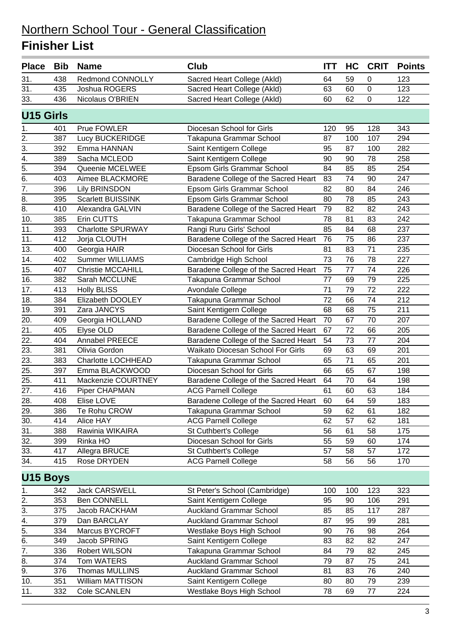| <b>Place</b>     | <b>Bib</b> | <b>Name</b>              | <b>Club</b>                          | <b>ITT</b> | HC  | <b>CRIT</b> | <b>Points</b> |
|------------------|------------|--------------------------|--------------------------------------|------------|-----|-------------|---------------|
| 31.              | 438        | Redmond CONNOLLY         | Sacred Heart College (Akld)          | 64         | 59  | 0           | 123           |
| 31.              | 435        | Joshua ROGERS            | Sacred Heart College (Akld)          | 63         | 60  | $\pmb{0}$   | 123           |
| 33.              | 436        | Nicolaus O'BRIEN         | Sacred Heart College (Akld)          | 60         | 62  | $\mathbf 0$ | 122           |
| <b>U15 Girls</b> |            |                          |                                      |            |     |             |               |
| 1.               | 401        | Prue FOWLER              | Diocesan School for Girls            | 120        | 95  | 128         | 343           |
| 2.               | 387        | Lucy BUCKERIDGE          | Takapuna Grammar School              | 87         | 100 | 107         | 294           |
| 3.               | 392        | Emma HANNAN              | Saint Kentigern College              | 95         | 87  | 100         | 282           |
| 4.               | 389        | Sacha MCLEOD             | Saint Kentigern College              | 90         | 90  | 78          | 258           |
| $\overline{5}$ . | 394        | Queenie MCELWEE          | Epsom Girls Grammar School           | 84         | 85  | 85          | 254           |
| 6.               | 403        | Aimee BLACKMORE          | Baradene College of the Sacred Heart | 83         | 74  | 90          | 247           |
| 7.               | 396        | <b>Lily BRINSDON</b>     | Epsom Girls Grammar School           | 82         | 80  | 84          | 246           |
| 8.               | 395        | <b>Scarlett BUISSINK</b> | Epsom Girls Grammar School           | 80         | 78  | 85          | 243           |
| 8.               | 410        | Alexandra GALVIN         | Baradene College of the Sacred Heart | 79         | 82  | 82          | 243           |
| 10.              | 385        | Erin CUTTS               | Takapuna Grammar School              | 78         | 81  | 83          | 242           |
| 11.              | 393        | <b>Charlotte SPURWAY</b> | Rangi Ruru Girls' School             | 85         | 84  | 68          | 237           |
| 11.              | 412        | Jorja CLOUTH             | Baradene College of the Sacred Heart | 76         | 75  | 86          | 237           |
| 13.              | 400        | Georgia HAIR             | Diocesan School for Girls            | 81         | 83  | 71          | 235           |
| 14.              | 402        | <b>Summer WILLIAMS</b>   | Cambridge High School                | 73         | 76  | 78          | 227           |
| 15.              | 407        | <b>Christie MCCAHILL</b> | Baradene College of the Sacred Heart | 75         | 77  | 74          | 226           |
| 16.              | 382        | Sarah MCCLUNE            | Takapuna Grammar School              | 77         | 69  | 79          | 225           |
| 17.              | 413        | <b>Holly BLISS</b>       | Avondale College                     | 71         | 79  | 72          | 222           |
| 18.              | 384        | Elizabeth DOOLEY         | Takapuna Grammar School              | 72         | 66  | 74          | 212           |
| 19.              | 391        | Zara JANCYS              | Saint Kentigern College              | 68         | 68  | 75          | 211           |
| 20.              | 409        | Georgia HOLLAND          | Baradene College of the Sacred Heart | 70         | 67  | 70          | 207           |
| 21.              | 405        | Elyse OLD                | Baradene College of the Sacred Heart | 67         | 72  | 66          | 205           |
| 22.              | 404        | Annabel PREECE           | Baradene College of the Sacred Heart | 54         | 73  | 77          | 204           |
| 23.              | 381        | Olivia Gordon            | Waikato Diocesan School For Girls    | 69         | 63  | 69          | 201           |
| 23.              | 383        | Charlotte LOCHHEAD       | Takapuna Grammar School              | 65         | 71  | 65          | 201           |
| 25.              | 397        | Emma BLACKWOOD           | Diocesan School for Girls            | 66         | 65  | 67          | 198           |
| 25.              | 411        | Mackenzie COURTNEY       | Baradene College of the Sacred Heart | 64         | 70  | 64          | 198           |
| 27.              | 416        | Piper CHAPMAN            | <b>ACG Parnell College</b>           | 61         | 60  | 63          | 184           |
| 28.              | 408        | Elise LOVE               | Baradene College of the Sacred Heart | 60         | 64  | 59          | 183           |
| 29.              | 386        | Te Rohu CROW             | Takapuna Grammar School              | 59         | 62  | 61          | 182           |
| 30.              | 414        | Alice HAY                | <b>ACG Parnell College</b>           | 62         | 57  | 62          | 181           |
| 31.              | 388        | Rawinia WIKAIRA          | St Cuthbert's College                | 56         | 61  | 58          | 175           |
| 32.              | 399        | Rinka HO                 | Diocesan School for Girls            | 55         | 59  | 60          | 174           |
| 33.              | 417        | Allegra BRUCE            | St Cuthbert's College                | 57         | 58  | 57          | 172           |
| 34.              | 415        | Rose DRYDEN              | <b>ACG Parnell College</b>           | 58         | 56  | 56          | 170           |
| <b>U15 Boys</b>  |            |                          |                                      |            |     |             |               |
| 1.               | 342        | Jack CARSWELL            | St Peter's School (Cambridge)        | 100        | 100 | 123         | 323           |
| 2.               | 353        | <b>Ben CONNELL</b>       | Saint Kentigern College              | 95         | 90  | 106         | 291           |
| 3.               | 375        | Jacob RACKHAM            | <b>Auckland Grammar School</b>       | 85         | 85  | 117         | 287           |
| 4.               | 379        | Dan BARCLAY              | <b>Auckland Grammar School</b>       | 87         | 95  | 99          | 281           |
| 5.               | 334        | Marcus BYCROFT           | Westlake Boys High School            | 90         | 76  | 98          | 264           |
| 6.               | 349        | Jacob SPRING             | Saint Kentigern College              | 83         | 82  | 82          | 247           |
| 7.               | 336        | Robert WILSON            | Takapuna Grammar School              | 84         | 79  | 82          | 245           |
| 8.               | 374        | Tom WATERS               | <b>Auckland Grammar School</b>       | 79         | 87  | 75          | 241           |
| 9.               | 376        | Thomas MULLINS           | <b>Auckland Grammar School</b>       | 81         | 83  | 76          | 240           |
| 10.              | 351        | William MATTISON         | Saint Kentigern College              | 80         | 80  | 79          | 239           |
| 11.              | 332        | Cole SCANLEN             | Westlake Boys High School            | 78         | 69  | 77          | 224           |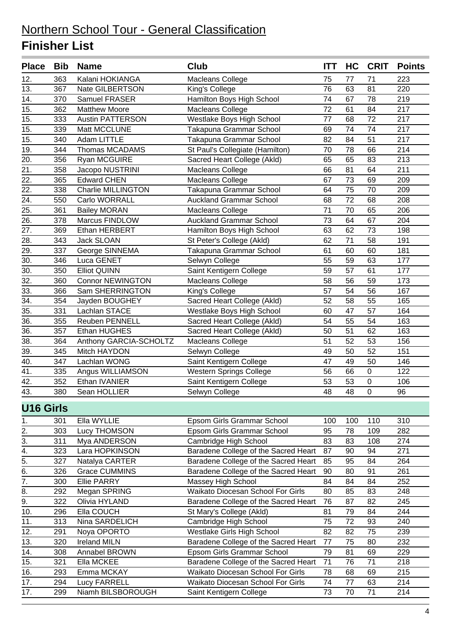| <b>Place</b>      | <b>Bib</b> | <b>Name</b>               | <b>Club</b>                          | <b>ITT</b> | HC  | <b>CRIT</b> | <b>Points</b> |
|-------------------|------------|---------------------------|--------------------------------------|------------|-----|-------------|---------------|
| 12.               | 363        | Kalani HOKIANGA           | <b>Macleans College</b>              | 75         | 77  | 71          | 223           |
| 13.               | 367        | Nate GILBERTSON           | King's College                       | 76         | 63  | 81          | 220           |
| 14.               | 370        | Samuel FRASER             | Hamilton Boys High School            | 74         | 67  | 78          | 219           |
| 15.               | 362        | <b>Matthew Moore</b>      | <b>Macleans College</b>              | 72         | 61  | 84          | 217           |
| 15.               | 333        | <b>Austin PATTERSON</b>   | Westlake Boys High School            | 77         | 68  | 72          | 217           |
| 15.               | 339        | Matt MCCLUNE              | Takapuna Grammar School              | 69         | 74  | 74          | 217           |
| 15.               | 340        | Adam LITTLE               | Takapuna Grammar School              | 82         | 84  | 51          | 217           |
| 19.               | 344        | Thomas MCADAMS            | St Paul's Collegiate (Hamilton)      | 70         | 78  | 66          | 214           |
| 20.               | 356        | Ryan MCGUIRE              | Sacred Heart College (Akld)          | 65         | 65  | 83          | 213           |
| $\overline{21}$ . | 358        | Jacopo NUSTRINI           | Macleans College                     | 66         | 81  | 64          | 211           |
| 22.               | 365        | <b>Edward CHEN</b>        | Macleans College                     | 67         | 73  | 69          | 209           |
| 22.               | 338        | <b>Charlie MILLINGTON</b> | Takapuna Grammar School              | 64         | 75  | 70          | 209           |
| 24.               | 550        | Carlo WORRALL             | <b>Auckland Grammar School</b>       | 68         | 72  | 68          | 208           |
| 25.               | 361        | <b>Bailey MORAN</b>       | Macleans College                     | 71         | 70  | 65          | 206           |
| 26.               | 378        | Marcus FINDLOW            | <b>Auckland Grammar School</b>       | 73         | 64  | 67          | 204           |
| 27.               | 369        | Ethan HERBERT             | Hamilton Boys High School            | 63         | 62  | 73          | 198           |
| 28.               | 343        | Jack SLOAN                | St Peter's College (Akld)            | 62         | 71  | 58          | 191           |
| 29.               | 337        | George SINNEMA            | Takapuna Grammar School              | 61         | 60  | 60          | 181           |
| 30.               | 346        | Luca GENET                | Selwyn College                       | 55         | 59  | 63          | 177           |
| 30.               | 350        | <b>Elliot QUINN</b>       | Saint Kentigern College              | 59         | 57  | 61          | 177           |
| 32.               | 360        | <b>Connor NEWINGTON</b>   | Macleans College                     | 58         | 56  | 59          | 173           |
| $\overline{33}$ . | 366        | Sam SHERRINGTON           | King's College                       | 57         | 54  | 56          | 167           |
| $\overline{34}$ . | 354        | Jayden BOUGHEY            | Sacred Heart College (Akld)          | 52         | 58  | 55          | 165           |
| 35.               | 331        | Lachlan STACE             | Westlake Boys High School            | 60         | 47  | 57          | 164           |
| 36.               | 355        | <b>Reuben PENNELL</b>     | Sacred Heart College (Akld)          | 54         | 55  | 54          | 163           |
| 36.               | 357        | Ethan HUGHES              | Sacred Heart College (Akld)          | 50         | 51  | 62          | 163           |
| 38.               | 364        | Anthony GARCIA-SCHOLTZ    | Macleans College                     | 51         | 52  | 53          | 156           |
| 39.               | 345        | Mitch HAYDON              | Selwyn College                       | 49         | 50  | 52          | 151           |
| 40.               | 347        | Lachlan WONG              | Saint Kentigern College              | 47         | 49  | 50          | 146           |
| 41.               | 335        | Angus WILLIAMSON          | <b>Western Springs College</b>       | 56         | 66  | $\pmb{0}$   | 122           |
| 42.               | 352        | Ethan IVANIER             | Saint Kentigern College              | 53         | 53  | $\pmb{0}$   | 106           |
| 43.               | 380        | Sean HOLLIER              | Selwyn College                       | 48         | 48  | 0           | 96            |
|                   |            |                           |                                      |            |     |             |               |
| <b>U16 Girls</b>  |            |                           |                                      |            |     |             |               |
| 1.                | 301        | Ella WYLLIE               | Epsom Girls Grammar School           | 100        | 100 | 110         | 310           |
| 2.                | 303        | Lucy THOMSON              | Epsom Girls Grammar School           | 95         | 78  | 109         | 282           |
| 3.                | 311        | Mya ANDERSON              | Cambridge High School                | 83         | 83  | 108         | 274           |
| 4.                | 323        | Lara HOPKINSON            | Baradene College of the Sacred Heart | 87         | 90  | 94          | 271           |
| $\overline{5}$ .  | 327        | Natalya CARTER            | Baradene College of the Sacred Heart | 85         | 95  | 84          | 264           |
| 6.                | 326        | <b>Grace CUMMINS</b>      | Baradene College of the Sacred Heart | 90         | 80  | 91          | 261           |
| 7.                | 300        | <b>Ellie PARRY</b>        | Massey High School                   | 84         | 84  | 84          | 252           |
| 8.                | 292        | Megan SPRING              | Waikato Diocesan School For Girls    | 80         | 85  | 83          | 248           |
| 9.                | 322        | Olivia HYLAND             | Baradene College of the Sacred Heart | 76         | 87  | 82          | 245           |
| 10.               | 296        | Ella COUCH                | St Mary's College (Akld)             | 81         | 79  | 84          | 244           |
| 11.               | 313        | Nina SARDELICH            | Cambridge High School                | 75         | 72  | 93          | 240           |
| 12.               | 291        | Noya OPORTO               | Westlake Girls High School           | 82         | 82  | 75          | 239           |
| 13.               | 320        | <b>Ireland MILN</b>       | Baradene College of the Sacred Heart | 77         | 75  | 80          | 232           |
| 14.               | 308        | Annabel BROWN             | Epsom Girls Grammar School           | 79         | 81  | 69          | 229           |
| 15.               | 321        | Ella MCKEE                | Baradene College of the Sacred Heart | 71         | 76  | 71          | 218           |
| 16.               | 293        | Emma MCKAY                | Waikato Diocesan School For Girls    | 78         | 68  | 69          | 215           |
| 17.               | 294        | <b>Lucy FARRELL</b>       | Waikato Diocesan School For Girls    | 74         | 77  | 63          | 214           |
| 17.               | 299        | Niamh BILSBOROUGH         | Saint Kentigern College              | 73         | 70  | 71          | 214           |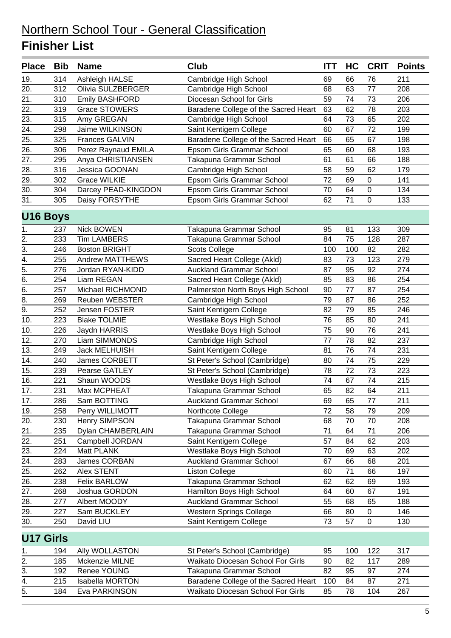| 314<br>211<br>19.<br>Ashleigh HALSE<br>Cambridge High School<br>69<br>66<br>76<br>20.<br>312<br>Olivia SULZBERGER<br>63<br>77<br>208<br>Cambridge High School<br>68<br>21.<br>310<br><b>Emily BASHFORD</b><br>Diocesan School for Girls<br>59<br>74<br>73<br>206<br>$\overline{22}$ .<br>78<br>319<br>63<br>62<br>203<br><b>Grace STOWERS</b><br>Baradene College of the Sacred Heart<br>23.<br>64<br>73<br>315<br>Amy GREGAN<br>65<br>202<br>Cambridge High School<br>72<br>24.<br>298<br>Jaime WILKINSON<br>Saint Kentigern College<br>60<br>67<br>199<br>25.<br>325<br><b>Frances GALVIN</b><br>Baradene College of the Sacred Heart<br>66<br>65<br>67<br>198<br>$\overline{26}$ .<br>65<br>306<br>Epsom Girls Grammar School<br>60<br>68<br>193<br>Perez Raynaud EMILA<br>27.<br>Takapuna Grammar School<br>295<br>Anya CHRISTIANSEN<br>61<br>61<br>66<br>188<br>28.<br>316<br>Jessica GOONAN<br>59<br>62<br>179<br>Cambridge High School<br>58<br>29.<br>302<br><b>Grace WILKIE</b><br>72<br>69<br>$\boldsymbol{0}$<br>141<br>Epsom Girls Grammar School<br>30.<br>304<br>70<br>64<br>0<br>134<br>Darcey PEAD-KINGDON<br>Epsom Girls Grammar School<br>31.<br>305<br>Daisy FORSYTHE<br>71<br>0<br>Epsom Girls Grammar School<br>62<br>133<br><b>U16 Boys</b><br>237<br>Nick BOWEN<br>133<br>309<br>Takapuna Grammar School<br>95<br>81<br>1.<br>$\overline{2}$ .<br>233<br><b>Tim LAMBERS</b><br>Takapuna Grammar School<br>75<br>128<br>287<br>84<br>$\overline{3}$ .<br>246<br>100<br>82<br>282<br><b>Boston BRIGHT</b><br><b>Scots College</b><br>100<br>$\overline{4}$ .<br>Sacred Heart College (Akld)<br>73<br>255<br><b>Andrew MATTHEWS</b><br>83<br>123<br>279<br>$\frac{1}{5}$ .<br>95<br>274<br>276<br><b>Auckland Grammar School</b><br>87<br>92<br>Jordan RYAN-KIDD<br>254<br>Liam REGAN<br>83<br>254<br>Sacred Heart College (Akld)<br>85<br>86<br>$\overline{6}$ .<br>257<br>Michael RICHMOND<br>77<br>Palmerston North Boys High School<br>90<br>87<br>254<br>8.<br>Cambridge High School<br>79<br>269<br><b>Reuben WEBSTER</b><br>87<br>86<br>252<br>$\overline{9}$ .<br>Saint Kentigern College<br>79<br>252<br>82<br>85<br>246<br>Jensen FOSTER<br>241<br>10.<br>223<br><b>Blake TOLMIE</b><br>Westlake Boys High School<br>76<br>85<br>80<br>10.<br>75<br>90<br>76<br>241<br>226<br>Jaydn HARRIS<br>Westlake Boys High School<br>12.<br>Liam SIMMONDS<br>Cambridge High School<br>77<br>78<br>82<br>237<br>270<br>13.<br>76<br>Jack MELHUISH<br>81<br>74<br>231<br>249<br>Saint Kentigern College<br>14.<br>74<br>75<br>240<br>James CORBETT<br>St Peter's School (Cambridge)<br>80<br>229<br>15.<br>72<br>239<br>Pearse GATLEY<br>St Peter's School (Cambridge)<br>78<br>73<br>223<br>16.<br>221<br>Westlake Boys High School<br>74<br>215<br>Shaun WOODS<br>74<br>67<br>17.<br>231<br>Max MCPHEAT<br>65<br>82<br>64<br>211<br>Takapuna Grammar School<br>$\overline{17}$ .<br><b>Auckland Grammar School</b><br>65<br>$\overline{77}$<br>286<br>Sam BOTTING<br>211<br>69<br>19.<br>72<br>58<br>209<br>258<br>Perry WILLIMOTT<br>Northcote College<br>79<br>70<br>70<br>20.<br>230<br>Henry SIMPSON<br>Takapuna Grammar School<br>68<br>208<br>21.<br>71<br>71<br>235<br>Dylan CHAMBERLAIN<br>Takapuna Grammar School<br>64<br>206<br>$\overline{22.}$<br>Saint Kentigern College<br>57<br>84<br>62<br>203<br>251<br>Campbell JORDAN<br>23.<br>Westlake Boys High School<br>63<br>224<br>Matt PLANK<br>70<br>69<br>202<br>66<br>24.<br>283<br>James CORBAN<br><b>Auckland Grammar School</b><br>67<br>68<br>201<br>25.<br>262<br>71<br>Alex STENT<br><b>Liston College</b><br>60<br>66<br>197<br>$\overline{26}$ .<br>Takapuna Grammar School<br>62<br>238<br><b>Felix BARLOW</b><br>62<br>69<br>193<br>27.<br>Joshua GORDON<br>Hamilton Boys High School<br>268<br>64<br>60<br>67<br>191<br>Albert MOODY<br><b>Auckland Grammar School</b><br>28.<br>277<br>55<br>68<br>65<br>188<br>Sam BUCKLEY<br>Western Springs College<br>0<br>29.<br>227<br>66<br>80<br>146<br>30.<br>Saint Kentigern College<br>73<br>250<br>David LIU<br>57<br>0<br>130<br><b>U17 Girls</b><br>Ally WOLLASTON<br>St Peter's School (Cambridge)<br>95<br>100<br>122<br>317<br>194<br>1.<br>2.<br>185<br>Mckenzie MILNE<br>Waikato Diocesan School For Girls<br>82<br>117<br>90<br>289<br>3.<br>Renee YOUNG<br>Takapuna Grammar School<br>82<br>95<br>192<br>97<br>274<br>4.<br>Baradene College of the Sacred Heart<br>215<br>Isabella MORTON<br>87<br>100<br>84<br>271 | <b>Place</b>     | <b>Bib</b> | <b>Name</b>   | <b>Club</b>                       | <b>ITT</b> | HC | <b>CRIT</b> | <b>Points</b> |
|--------------------------------------------------------------------------------------------------------------------------------------------------------------------------------------------------------------------------------------------------------------------------------------------------------------------------------------------------------------------------------------------------------------------------------------------------------------------------------------------------------------------------------------------------------------------------------------------------------------------------------------------------------------------------------------------------------------------------------------------------------------------------------------------------------------------------------------------------------------------------------------------------------------------------------------------------------------------------------------------------------------------------------------------------------------------------------------------------------------------------------------------------------------------------------------------------------------------------------------------------------------------------------------------------------------------------------------------------------------------------------------------------------------------------------------------------------------------------------------------------------------------------------------------------------------------------------------------------------------------------------------------------------------------------------------------------------------------------------------------------------------------------------------------------------------------------------------------------------------------------------------------------------------------------------------------------------------------------------------------------------------------------------------------------------------------------------------------------------------------------------------------------------------------------------------------------------------------------------------------------------------------------------------------------------------------------------------------------------------------------------------------------------------------------------------------------------------------------------------------------------------------------------------------------------------------------------------------------------------------------------------------------------------------------------------------------------------------------------------------------------------------------------------------------------------------------------------------------------------------------------------------------------------------------------------------------------------------------------------------------------------------------------------------------------------------------------------------------------------------------------------------------------------------------------------------------------------------------------------------------------------------------------------------------------------------------------------------------------------------------------------------------------------------------------------------------------------------------------------------------------------------------------------------------------------------------------------------------------------------------------------------------------------------------------------------------------------------------------------------------------------------------------------------------------------------------------------------------------------------------------------------------------------------------------------------------------------------------------------------------------------------------------------------------------------------------------------------------------------------------------------------------------------------------------------------------------------------------------------------------------------------------------------------------------------------------------------------------------------------------------------------------------------------------------------------------------------------------|------------------|------------|---------------|-----------------------------------|------------|----|-------------|---------------|
|                                                                                                                                                                                                                                                                                                                                                                                                                                                                                                                                                                                                                                                                                                                                                                                                                                                                                                                                                                                                                                                                                                                                                                                                                                                                                                                                                                                                                                                                                                                                                                                                                                                                                                                                                                                                                                                                                                                                                                                                                                                                                                                                                                                                                                                                                                                                                                                                                                                                                                                                                                                                                                                                                                                                                                                                                                                                                                                                                                                                                                                                                                                                                                                                                                                                                                                                                                                                                                                                                                                                                                                                                                                                                                                                                                                                                                                                                                                                                                                                                                                                                                                                                                                                                                                                                                                                                                                                                                                                          |                  |            |               |                                   |            |    |             |               |
|                                                                                                                                                                                                                                                                                                                                                                                                                                                                                                                                                                                                                                                                                                                                                                                                                                                                                                                                                                                                                                                                                                                                                                                                                                                                                                                                                                                                                                                                                                                                                                                                                                                                                                                                                                                                                                                                                                                                                                                                                                                                                                                                                                                                                                                                                                                                                                                                                                                                                                                                                                                                                                                                                                                                                                                                                                                                                                                                                                                                                                                                                                                                                                                                                                                                                                                                                                                                                                                                                                                                                                                                                                                                                                                                                                                                                                                                                                                                                                                                                                                                                                                                                                                                                                                                                                                                                                                                                                                                          |                  |            |               |                                   |            |    |             |               |
|                                                                                                                                                                                                                                                                                                                                                                                                                                                                                                                                                                                                                                                                                                                                                                                                                                                                                                                                                                                                                                                                                                                                                                                                                                                                                                                                                                                                                                                                                                                                                                                                                                                                                                                                                                                                                                                                                                                                                                                                                                                                                                                                                                                                                                                                                                                                                                                                                                                                                                                                                                                                                                                                                                                                                                                                                                                                                                                                                                                                                                                                                                                                                                                                                                                                                                                                                                                                                                                                                                                                                                                                                                                                                                                                                                                                                                                                                                                                                                                                                                                                                                                                                                                                                                                                                                                                                                                                                                                                          |                  |            |               |                                   |            |    |             |               |
|                                                                                                                                                                                                                                                                                                                                                                                                                                                                                                                                                                                                                                                                                                                                                                                                                                                                                                                                                                                                                                                                                                                                                                                                                                                                                                                                                                                                                                                                                                                                                                                                                                                                                                                                                                                                                                                                                                                                                                                                                                                                                                                                                                                                                                                                                                                                                                                                                                                                                                                                                                                                                                                                                                                                                                                                                                                                                                                                                                                                                                                                                                                                                                                                                                                                                                                                                                                                                                                                                                                                                                                                                                                                                                                                                                                                                                                                                                                                                                                                                                                                                                                                                                                                                                                                                                                                                                                                                                                                          |                  |            |               |                                   |            |    |             |               |
|                                                                                                                                                                                                                                                                                                                                                                                                                                                                                                                                                                                                                                                                                                                                                                                                                                                                                                                                                                                                                                                                                                                                                                                                                                                                                                                                                                                                                                                                                                                                                                                                                                                                                                                                                                                                                                                                                                                                                                                                                                                                                                                                                                                                                                                                                                                                                                                                                                                                                                                                                                                                                                                                                                                                                                                                                                                                                                                                                                                                                                                                                                                                                                                                                                                                                                                                                                                                                                                                                                                                                                                                                                                                                                                                                                                                                                                                                                                                                                                                                                                                                                                                                                                                                                                                                                                                                                                                                                                                          |                  |            |               |                                   |            |    |             |               |
|                                                                                                                                                                                                                                                                                                                                                                                                                                                                                                                                                                                                                                                                                                                                                                                                                                                                                                                                                                                                                                                                                                                                                                                                                                                                                                                                                                                                                                                                                                                                                                                                                                                                                                                                                                                                                                                                                                                                                                                                                                                                                                                                                                                                                                                                                                                                                                                                                                                                                                                                                                                                                                                                                                                                                                                                                                                                                                                                                                                                                                                                                                                                                                                                                                                                                                                                                                                                                                                                                                                                                                                                                                                                                                                                                                                                                                                                                                                                                                                                                                                                                                                                                                                                                                                                                                                                                                                                                                                                          |                  |            |               |                                   |            |    |             |               |
|                                                                                                                                                                                                                                                                                                                                                                                                                                                                                                                                                                                                                                                                                                                                                                                                                                                                                                                                                                                                                                                                                                                                                                                                                                                                                                                                                                                                                                                                                                                                                                                                                                                                                                                                                                                                                                                                                                                                                                                                                                                                                                                                                                                                                                                                                                                                                                                                                                                                                                                                                                                                                                                                                                                                                                                                                                                                                                                                                                                                                                                                                                                                                                                                                                                                                                                                                                                                                                                                                                                                                                                                                                                                                                                                                                                                                                                                                                                                                                                                                                                                                                                                                                                                                                                                                                                                                                                                                                                                          |                  |            |               |                                   |            |    |             |               |
|                                                                                                                                                                                                                                                                                                                                                                                                                                                                                                                                                                                                                                                                                                                                                                                                                                                                                                                                                                                                                                                                                                                                                                                                                                                                                                                                                                                                                                                                                                                                                                                                                                                                                                                                                                                                                                                                                                                                                                                                                                                                                                                                                                                                                                                                                                                                                                                                                                                                                                                                                                                                                                                                                                                                                                                                                                                                                                                                                                                                                                                                                                                                                                                                                                                                                                                                                                                                                                                                                                                                                                                                                                                                                                                                                                                                                                                                                                                                                                                                                                                                                                                                                                                                                                                                                                                                                                                                                                                                          |                  |            |               |                                   |            |    |             |               |
|                                                                                                                                                                                                                                                                                                                                                                                                                                                                                                                                                                                                                                                                                                                                                                                                                                                                                                                                                                                                                                                                                                                                                                                                                                                                                                                                                                                                                                                                                                                                                                                                                                                                                                                                                                                                                                                                                                                                                                                                                                                                                                                                                                                                                                                                                                                                                                                                                                                                                                                                                                                                                                                                                                                                                                                                                                                                                                                                                                                                                                                                                                                                                                                                                                                                                                                                                                                                                                                                                                                                                                                                                                                                                                                                                                                                                                                                                                                                                                                                                                                                                                                                                                                                                                                                                                                                                                                                                                                                          |                  |            |               |                                   |            |    |             |               |
|                                                                                                                                                                                                                                                                                                                                                                                                                                                                                                                                                                                                                                                                                                                                                                                                                                                                                                                                                                                                                                                                                                                                                                                                                                                                                                                                                                                                                                                                                                                                                                                                                                                                                                                                                                                                                                                                                                                                                                                                                                                                                                                                                                                                                                                                                                                                                                                                                                                                                                                                                                                                                                                                                                                                                                                                                                                                                                                                                                                                                                                                                                                                                                                                                                                                                                                                                                                                                                                                                                                                                                                                                                                                                                                                                                                                                                                                                                                                                                                                                                                                                                                                                                                                                                                                                                                                                                                                                                                                          |                  |            |               |                                   |            |    |             |               |
|                                                                                                                                                                                                                                                                                                                                                                                                                                                                                                                                                                                                                                                                                                                                                                                                                                                                                                                                                                                                                                                                                                                                                                                                                                                                                                                                                                                                                                                                                                                                                                                                                                                                                                                                                                                                                                                                                                                                                                                                                                                                                                                                                                                                                                                                                                                                                                                                                                                                                                                                                                                                                                                                                                                                                                                                                                                                                                                                                                                                                                                                                                                                                                                                                                                                                                                                                                                                                                                                                                                                                                                                                                                                                                                                                                                                                                                                                                                                                                                                                                                                                                                                                                                                                                                                                                                                                                                                                                                                          |                  |            |               |                                   |            |    |             |               |
|                                                                                                                                                                                                                                                                                                                                                                                                                                                                                                                                                                                                                                                                                                                                                                                                                                                                                                                                                                                                                                                                                                                                                                                                                                                                                                                                                                                                                                                                                                                                                                                                                                                                                                                                                                                                                                                                                                                                                                                                                                                                                                                                                                                                                                                                                                                                                                                                                                                                                                                                                                                                                                                                                                                                                                                                                                                                                                                                                                                                                                                                                                                                                                                                                                                                                                                                                                                                                                                                                                                                                                                                                                                                                                                                                                                                                                                                                                                                                                                                                                                                                                                                                                                                                                                                                                                                                                                                                                                                          |                  |            |               |                                   |            |    |             |               |
|                                                                                                                                                                                                                                                                                                                                                                                                                                                                                                                                                                                                                                                                                                                                                                                                                                                                                                                                                                                                                                                                                                                                                                                                                                                                                                                                                                                                                                                                                                                                                                                                                                                                                                                                                                                                                                                                                                                                                                                                                                                                                                                                                                                                                                                                                                                                                                                                                                                                                                                                                                                                                                                                                                                                                                                                                                                                                                                                                                                                                                                                                                                                                                                                                                                                                                                                                                                                                                                                                                                                                                                                                                                                                                                                                                                                                                                                                                                                                                                                                                                                                                                                                                                                                                                                                                                                                                                                                                                                          |                  |            |               |                                   |            |    |             |               |
|                                                                                                                                                                                                                                                                                                                                                                                                                                                                                                                                                                                                                                                                                                                                                                                                                                                                                                                                                                                                                                                                                                                                                                                                                                                                                                                                                                                                                                                                                                                                                                                                                                                                                                                                                                                                                                                                                                                                                                                                                                                                                                                                                                                                                                                                                                                                                                                                                                                                                                                                                                                                                                                                                                                                                                                                                                                                                                                                                                                                                                                                                                                                                                                                                                                                                                                                                                                                                                                                                                                                                                                                                                                                                                                                                                                                                                                                                                                                                                                                                                                                                                                                                                                                                                                                                                                                                                                                                                                                          |                  |            |               |                                   |            |    |             |               |
|                                                                                                                                                                                                                                                                                                                                                                                                                                                                                                                                                                                                                                                                                                                                                                                                                                                                                                                                                                                                                                                                                                                                                                                                                                                                                                                                                                                                                                                                                                                                                                                                                                                                                                                                                                                                                                                                                                                                                                                                                                                                                                                                                                                                                                                                                                                                                                                                                                                                                                                                                                                                                                                                                                                                                                                                                                                                                                                                                                                                                                                                                                                                                                                                                                                                                                                                                                                                                                                                                                                                                                                                                                                                                                                                                                                                                                                                                                                                                                                                                                                                                                                                                                                                                                                                                                                                                                                                                                                                          |                  |            |               |                                   |            |    |             |               |
|                                                                                                                                                                                                                                                                                                                                                                                                                                                                                                                                                                                                                                                                                                                                                                                                                                                                                                                                                                                                                                                                                                                                                                                                                                                                                                                                                                                                                                                                                                                                                                                                                                                                                                                                                                                                                                                                                                                                                                                                                                                                                                                                                                                                                                                                                                                                                                                                                                                                                                                                                                                                                                                                                                                                                                                                                                                                                                                                                                                                                                                                                                                                                                                                                                                                                                                                                                                                                                                                                                                                                                                                                                                                                                                                                                                                                                                                                                                                                                                                                                                                                                                                                                                                                                                                                                                                                                                                                                                                          |                  |            |               |                                   |            |    |             |               |
|                                                                                                                                                                                                                                                                                                                                                                                                                                                                                                                                                                                                                                                                                                                                                                                                                                                                                                                                                                                                                                                                                                                                                                                                                                                                                                                                                                                                                                                                                                                                                                                                                                                                                                                                                                                                                                                                                                                                                                                                                                                                                                                                                                                                                                                                                                                                                                                                                                                                                                                                                                                                                                                                                                                                                                                                                                                                                                                                                                                                                                                                                                                                                                                                                                                                                                                                                                                                                                                                                                                                                                                                                                                                                                                                                                                                                                                                                                                                                                                                                                                                                                                                                                                                                                                                                                                                                                                                                                                                          |                  |            |               |                                   |            |    |             |               |
|                                                                                                                                                                                                                                                                                                                                                                                                                                                                                                                                                                                                                                                                                                                                                                                                                                                                                                                                                                                                                                                                                                                                                                                                                                                                                                                                                                                                                                                                                                                                                                                                                                                                                                                                                                                                                                                                                                                                                                                                                                                                                                                                                                                                                                                                                                                                                                                                                                                                                                                                                                                                                                                                                                                                                                                                                                                                                                                                                                                                                                                                                                                                                                                                                                                                                                                                                                                                                                                                                                                                                                                                                                                                                                                                                                                                                                                                                                                                                                                                                                                                                                                                                                                                                                                                                                                                                                                                                                                                          |                  |            |               |                                   |            |    |             |               |
|                                                                                                                                                                                                                                                                                                                                                                                                                                                                                                                                                                                                                                                                                                                                                                                                                                                                                                                                                                                                                                                                                                                                                                                                                                                                                                                                                                                                                                                                                                                                                                                                                                                                                                                                                                                                                                                                                                                                                                                                                                                                                                                                                                                                                                                                                                                                                                                                                                                                                                                                                                                                                                                                                                                                                                                                                                                                                                                                                                                                                                                                                                                                                                                                                                                                                                                                                                                                                                                                                                                                                                                                                                                                                                                                                                                                                                                                                                                                                                                                                                                                                                                                                                                                                                                                                                                                                                                                                                                                          |                  |            |               |                                   |            |    |             |               |
|                                                                                                                                                                                                                                                                                                                                                                                                                                                                                                                                                                                                                                                                                                                                                                                                                                                                                                                                                                                                                                                                                                                                                                                                                                                                                                                                                                                                                                                                                                                                                                                                                                                                                                                                                                                                                                                                                                                                                                                                                                                                                                                                                                                                                                                                                                                                                                                                                                                                                                                                                                                                                                                                                                                                                                                                                                                                                                                                                                                                                                                                                                                                                                                                                                                                                                                                                                                                                                                                                                                                                                                                                                                                                                                                                                                                                                                                                                                                                                                                                                                                                                                                                                                                                                                                                                                                                                                                                                                                          |                  |            |               |                                   |            |    |             |               |
|                                                                                                                                                                                                                                                                                                                                                                                                                                                                                                                                                                                                                                                                                                                                                                                                                                                                                                                                                                                                                                                                                                                                                                                                                                                                                                                                                                                                                                                                                                                                                                                                                                                                                                                                                                                                                                                                                                                                                                                                                                                                                                                                                                                                                                                                                                                                                                                                                                                                                                                                                                                                                                                                                                                                                                                                                                                                                                                                                                                                                                                                                                                                                                                                                                                                                                                                                                                                                                                                                                                                                                                                                                                                                                                                                                                                                                                                                                                                                                                                                                                                                                                                                                                                                                                                                                                                                                                                                                                                          |                  |            |               |                                   |            |    |             |               |
|                                                                                                                                                                                                                                                                                                                                                                                                                                                                                                                                                                                                                                                                                                                                                                                                                                                                                                                                                                                                                                                                                                                                                                                                                                                                                                                                                                                                                                                                                                                                                                                                                                                                                                                                                                                                                                                                                                                                                                                                                                                                                                                                                                                                                                                                                                                                                                                                                                                                                                                                                                                                                                                                                                                                                                                                                                                                                                                                                                                                                                                                                                                                                                                                                                                                                                                                                                                                                                                                                                                                                                                                                                                                                                                                                                                                                                                                                                                                                                                                                                                                                                                                                                                                                                                                                                                                                                                                                                                                          |                  |            |               |                                   |            |    |             |               |
|                                                                                                                                                                                                                                                                                                                                                                                                                                                                                                                                                                                                                                                                                                                                                                                                                                                                                                                                                                                                                                                                                                                                                                                                                                                                                                                                                                                                                                                                                                                                                                                                                                                                                                                                                                                                                                                                                                                                                                                                                                                                                                                                                                                                                                                                                                                                                                                                                                                                                                                                                                                                                                                                                                                                                                                                                                                                                                                                                                                                                                                                                                                                                                                                                                                                                                                                                                                                                                                                                                                                                                                                                                                                                                                                                                                                                                                                                                                                                                                                                                                                                                                                                                                                                                                                                                                                                                                                                                                                          |                  |            |               |                                   |            |    |             |               |
|                                                                                                                                                                                                                                                                                                                                                                                                                                                                                                                                                                                                                                                                                                                                                                                                                                                                                                                                                                                                                                                                                                                                                                                                                                                                                                                                                                                                                                                                                                                                                                                                                                                                                                                                                                                                                                                                                                                                                                                                                                                                                                                                                                                                                                                                                                                                                                                                                                                                                                                                                                                                                                                                                                                                                                                                                                                                                                                                                                                                                                                                                                                                                                                                                                                                                                                                                                                                                                                                                                                                                                                                                                                                                                                                                                                                                                                                                                                                                                                                                                                                                                                                                                                                                                                                                                                                                                                                                                                                          |                  |            |               |                                   |            |    |             |               |
|                                                                                                                                                                                                                                                                                                                                                                                                                                                                                                                                                                                                                                                                                                                                                                                                                                                                                                                                                                                                                                                                                                                                                                                                                                                                                                                                                                                                                                                                                                                                                                                                                                                                                                                                                                                                                                                                                                                                                                                                                                                                                                                                                                                                                                                                                                                                                                                                                                                                                                                                                                                                                                                                                                                                                                                                                                                                                                                                                                                                                                                                                                                                                                                                                                                                                                                                                                                                                                                                                                                                                                                                                                                                                                                                                                                                                                                                                                                                                                                                                                                                                                                                                                                                                                                                                                                                                                                                                                                                          |                  |            |               |                                   |            |    |             |               |
|                                                                                                                                                                                                                                                                                                                                                                                                                                                                                                                                                                                                                                                                                                                                                                                                                                                                                                                                                                                                                                                                                                                                                                                                                                                                                                                                                                                                                                                                                                                                                                                                                                                                                                                                                                                                                                                                                                                                                                                                                                                                                                                                                                                                                                                                                                                                                                                                                                                                                                                                                                                                                                                                                                                                                                                                                                                                                                                                                                                                                                                                                                                                                                                                                                                                                                                                                                                                                                                                                                                                                                                                                                                                                                                                                                                                                                                                                                                                                                                                                                                                                                                                                                                                                                                                                                                                                                                                                                                                          |                  |            |               |                                   |            |    |             |               |
|                                                                                                                                                                                                                                                                                                                                                                                                                                                                                                                                                                                                                                                                                                                                                                                                                                                                                                                                                                                                                                                                                                                                                                                                                                                                                                                                                                                                                                                                                                                                                                                                                                                                                                                                                                                                                                                                                                                                                                                                                                                                                                                                                                                                                                                                                                                                                                                                                                                                                                                                                                                                                                                                                                                                                                                                                                                                                                                                                                                                                                                                                                                                                                                                                                                                                                                                                                                                                                                                                                                                                                                                                                                                                                                                                                                                                                                                                                                                                                                                                                                                                                                                                                                                                                                                                                                                                                                                                                                                          |                  |            |               |                                   |            |    |             |               |
|                                                                                                                                                                                                                                                                                                                                                                                                                                                                                                                                                                                                                                                                                                                                                                                                                                                                                                                                                                                                                                                                                                                                                                                                                                                                                                                                                                                                                                                                                                                                                                                                                                                                                                                                                                                                                                                                                                                                                                                                                                                                                                                                                                                                                                                                                                                                                                                                                                                                                                                                                                                                                                                                                                                                                                                                                                                                                                                                                                                                                                                                                                                                                                                                                                                                                                                                                                                                                                                                                                                                                                                                                                                                                                                                                                                                                                                                                                                                                                                                                                                                                                                                                                                                                                                                                                                                                                                                                                                                          |                  |            |               |                                   |            |    |             |               |
|                                                                                                                                                                                                                                                                                                                                                                                                                                                                                                                                                                                                                                                                                                                                                                                                                                                                                                                                                                                                                                                                                                                                                                                                                                                                                                                                                                                                                                                                                                                                                                                                                                                                                                                                                                                                                                                                                                                                                                                                                                                                                                                                                                                                                                                                                                                                                                                                                                                                                                                                                                                                                                                                                                                                                                                                                                                                                                                                                                                                                                                                                                                                                                                                                                                                                                                                                                                                                                                                                                                                                                                                                                                                                                                                                                                                                                                                                                                                                                                                                                                                                                                                                                                                                                                                                                                                                                                                                                                                          |                  |            |               |                                   |            |    |             |               |
|                                                                                                                                                                                                                                                                                                                                                                                                                                                                                                                                                                                                                                                                                                                                                                                                                                                                                                                                                                                                                                                                                                                                                                                                                                                                                                                                                                                                                                                                                                                                                                                                                                                                                                                                                                                                                                                                                                                                                                                                                                                                                                                                                                                                                                                                                                                                                                                                                                                                                                                                                                                                                                                                                                                                                                                                                                                                                                                                                                                                                                                                                                                                                                                                                                                                                                                                                                                                                                                                                                                                                                                                                                                                                                                                                                                                                                                                                                                                                                                                                                                                                                                                                                                                                                                                                                                                                                                                                                                                          |                  |            |               |                                   |            |    |             |               |
|                                                                                                                                                                                                                                                                                                                                                                                                                                                                                                                                                                                                                                                                                                                                                                                                                                                                                                                                                                                                                                                                                                                                                                                                                                                                                                                                                                                                                                                                                                                                                                                                                                                                                                                                                                                                                                                                                                                                                                                                                                                                                                                                                                                                                                                                                                                                                                                                                                                                                                                                                                                                                                                                                                                                                                                                                                                                                                                                                                                                                                                                                                                                                                                                                                                                                                                                                                                                                                                                                                                                                                                                                                                                                                                                                                                                                                                                                                                                                                                                                                                                                                                                                                                                                                                                                                                                                                                                                                                                          |                  |            |               |                                   |            |    |             |               |
|                                                                                                                                                                                                                                                                                                                                                                                                                                                                                                                                                                                                                                                                                                                                                                                                                                                                                                                                                                                                                                                                                                                                                                                                                                                                                                                                                                                                                                                                                                                                                                                                                                                                                                                                                                                                                                                                                                                                                                                                                                                                                                                                                                                                                                                                                                                                                                                                                                                                                                                                                                                                                                                                                                                                                                                                                                                                                                                                                                                                                                                                                                                                                                                                                                                                                                                                                                                                                                                                                                                                                                                                                                                                                                                                                                                                                                                                                                                                                                                                                                                                                                                                                                                                                                                                                                                                                                                                                                                                          |                  |            |               |                                   |            |    |             |               |
|                                                                                                                                                                                                                                                                                                                                                                                                                                                                                                                                                                                                                                                                                                                                                                                                                                                                                                                                                                                                                                                                                                                                                                                                                                                                                                                                                                                                                                                                                                                                                                                                                                                                                                                                                                                                                                                                                                                                                                                                                                                                                                                                                                                                                                                                                                                                                                                                                                                                                                                                                                                                                                                                                                                                                                                                                                                                                                                                                                                                                                                                                                                                                                                                                                                                                                                                                                                                                                                                                                                                                                                                                                                                                                                                                                                                                                                                                                                                                                                                                                                                                                                                                                                                                                                                                                                                                                                                                                                                          |                  |            |               |                                   |            |    |             |               |
|                                                                                                                                                                                                                                                                                                                                                                                                                                                                                                                                                                                                                                                                                                                                                                                                                                                                                                                                                                                                                                                                                                                                                                                                                                                                                                                                                                                                                                                                                                                                                                                                                                                                                                                                                                                                                                                                                                                                                                                                                                                                                                                                                                                                                                                                                                                                                                                                                                                                                                                                                                                                                                                                                                                                                                                                                                                                                                                                                                                                                                                                                                                                                                                                                                                                                                                                                                                                                                                                                                                                                                                                                                                                                                                                                                                                                                                                                                                                                                                                                                                                                                                                                                                                                                                                                                                                                                                                                                                                          |                  |            |               |                                   |            |    |             |               |
|                                                                                                                                                                                                                                                                                                                                                                                                                                                                                                                                                                                                                                                                                                                                                                                                                                                                                                                                                                                                                                                                                                                                                                                                                                                                                                                                                                                                                                                                                                                                                                                                                                                                                                                                                                                                                                                                                                                                                                                                                                                                                                                                                                                                                                                                                                                                                                                                                                                                                                                                                                                                                                                                                                                                                                                                                                                                                                                                                                                                                                                                                                                                                                                                                                                                                                                                                                                                                                                                                                                                                                                                                                                                                                                                                                                                                                                                                                                                                                                                                                                                                                                                                                                                                                                                                                                                                                                                                                                                          |                  |            |               |                                   |            |    |             |               |
|                                                                                                                                                                                                                                                                                                                                                                                                                                                                                                                                                                                                                                                                                                                                                                                                                                                                                                                                                                                                                                                                                                                                                                                                                                                                                                                                                                                                                                                                                                                                                                                                                                                                                                                                                                                                                                                                                                                                                                                                                                                                                                                                                                                                                                                                                                                                                                                                                                                                                                                                                                                                                                                                                                                                                                                                                                                                                                                                                                                                                                                                                                                                                                                                                                                                                                                                                                                                                                                                                                                                                                                                                                                                                                                                                                                                                                                                                                                                                                                                                                                                                                                                                                                                                                                                                                                                                                                                                                                                          |                  |            |               |                                   |            |    |             |               |
|                                                                                                                                                                                                                                                                                                                                                                                                                                                                                                                                                                                                                                                                                                                                                                                                                                                                                                                                                                                                                                                                                                                                                                                                                                                                                                                                                                                                                                                                                                                                                                                                                                                                                                                                                                                                                                                                                                                                                                                                                                                                                                                                                                                                                                                                                                                                                                                                                                                                                                                                                                                                                                                                                                                                                                                                                                                                                                                                                                                                                                                                                                                                                                                                                                                                                                                                                                                                                                                                                                                                                                                                                                                                                                                                                                                                                                                                                                                                                                                                                                                                                                                                                                                                                                                                                                                                                                                                                                                                          |                  |            |               |                                   |            |    |             |               |
|                                                                                                                                                                                                                                                                                                                                                                                                                                                                                                                                                                                                                                                                                                                                                                                                                                                                                                                                                                                                                                                                                                                                                                                                                                                                                                                                                                                                                                                                                                                                                                                                                                                                                                                                                                                                                                                                                                                                                                                                                                                                                                                                                                                                                                                                                                                                                                                                                                                                                                                                                                                                                                                                                                                                                                                                                                                                                                                                                                                                                                                                                                                                                                                                                                                                                                                                                                                                                                                                                                                                                                                                                                                                                                                                                                                                                                                                                                                                                                                                                                                                                                                                                                                                                                                                                                                                                                                                                                                                          |                  |            |               |                                   |            |    |             |               |
|                                                                                                                                                                                                                                                                                                                                                                                                                                                                                                                                                                                                                                                                                                                                                                                                                                                                                                                                                                                                                                                                                                                                                                                                                                                                                                                                                                                                                                                                                                                                                                                                                                                                                                                                                                                                                                                                                                                                                                                                                                                                                                                                                                                                                                                                                                                                                                                                                                                                                                                                                                                                                                                                                                                                                                                                                                                                                                                                                                                                                                                                                                                                                                                                                                                                                                                                                                                                                                                                                                                                                                                                                                                                                                                                                                                                                                                                                                                                                                                                                                                                                                                                                                                                                                                                                                                                                                                                                                                                          |                  |            |               |                                   |            |    |             |               |
|                                                                                                                                                                                                                                                                                                                                                                                                                                                                                                                                                                                                                                                                                                                                                                                                                                                                                                                                                                                                                                                                                                                                                                                                                                                                                                                                                                                                                                                                                                                                                                                                                                                                                                                                                                                                                                                                                                                                                                                                                                                                                                                                                                                                                                                                                                                                                                                                                                                                                                                                                                                                                                                                                                                                                                                                                                                                                                                                                                                                                                                                                                                                                                                                                                                                                                                                                                                                                                                                                                                                                                                                                                                                                                                                                                                                                                                                                                                                                                                                                                                                                                                                                                                                                                                                                                                                                                                                                                                                          |                  |            |               |                                   |            |    |             |               |
|                                                                                                                                                                                                                                                                                                                                                                                                                                                                                                                                                                                                                                                                                                                                                                                                                                                                                                                                                                                                                                                                                                                                                                                                                                                                                                                                                                                                                                                                                                                                                                                                                                                                                                                                                                                                                                                                                                                                                                                                                                                                                                                                                                                                                                                                                                                                                                                                                                                                                                                                                                                                                                                                                                                                                                                                                                                                                                                                                                                                                                                                                                                                                                                                                                                                                                                                                                                                                                                                                                                                                                                                                                                                                                                                                                                                                                                                                                                                                                                                                                                                                                                                                                                                                                                                                                                                                                                                                                                                          |                  |            |               |                                   |            |    |             |               |
|                                                                                                                                                                                                                                                                                                                                                                                                                                                                                                                                                                                                                                                                                                                                                                                                                                                                                                                                                                                                                                                                                                                                                                                                                                                                                                                                                                                                                                                                                                                                                                                                                                                                                                                                                                                                                                                                                                                                                                                                                                                                                                                                                                                                                                                                                                                                                                                                                                                                                                                                                                                                                                                                                                                                                                                                                                                                                                                                                                                                                                                                                                                                                                                                                                                                                                                                                                                                                                                                                                                                                                                                                                                                                                                                                                                                                                                                                                                                                                                                                                                                                                                                                                                                                                                                                                                                                                                                                                                                          |                  |            |               |                                   |            |    |             |               |
|                                                                                                                                                                                                                                                                                                                                                                                                                                                                                                                                                                                                                                                                                                                                                                                                                                                                                                                                                                                                                                                                                                                                                                                                                                                                                                                                                                                                                                                                                                                                                                                                                                                                                                                                                                                                                                                                                                                                                                                                                                                                                                                                                                                                                                                                                                                                                                                                                                                                                                                                                                                                                                                                                                                                                                                                                                                                                                                                                                                                                                                                                                                                                                                                                                                                                                                                                                                                                                                                                                                                                                                                                                                                                                                                                                                                                                                                                                                                                                                                                                                                                                                                                                                                                                                                                                                                                                                                                                                                          |                  |            |               |                                   |            |    |             |               |
|                                                                                                                                                                                                                                                                                                                                                                                                                                                                                                                                                                                                                                                                                                                                                                                                                                                                                                                                                                                                                                                                                                                                                                                                                                                                                                                                                                                                                                                                                                                                                                                                                                                                                                                                                                                                                                                                                                                                                                                                                                                                                                                                                                                                                                                                                                                                                                                                                                                                                                                                                                                                                                                                                                                                                                                                                                                                                                                                                                                                                                                                                                                                                                                                                                                                                                                                                                                                                                                                                                                                                                                                                                                                                                                                                                                                                                                                                                                                                                                                                                                                                                                                                                                                                                                                                                                                                                                                                                                                          |                  |            |               |                                   |            |    |             |               |
|                                                                                                                                                                                                                                                                                                                                                                                                                                                                                                                                                                                                                                                                                                                                                                                                                                                                                                                                                                                                                                                                                                                                                                                                                                                                                                                                                                                                                                                                                                                                                                                                                                                                                                                                                                                                                                                                                                                                                                                                                                                                                                                                                                                                                                                                                                                                                                                                                                                                                                                                                                                                                                                                                                                                                                                                                                                                                                                                                                                                                                                                                                                                                                                                                                                                                                                                                                                                                                                                                                                                                                                                                                                                                                                                                                                                                                                                                                                                                                                                                                                                                                                                                                                                                                                                                                                                                                                                                                                                          |                  |            |               |                                   |            |    |             |               |
|                                                                                                                                                                                                                                                                                                                                                                                                                                                                                                                                                                                                                                                                                                                                                                                                                                                                                                                                                                                                                                                                                                                                                                                                                                                                                                                                                                                                                                                                                                                                                                                                                                                                                                                                                                                                                                                                                                                                                                                                                                                                                                                                                                                                                                                                                                                                                                                                                                                                                                                                                                                                                                                                                                                                                                                                                                                                                                                                                                                                                                                                                                                                                                                                                                                                                                                                                                                                                                                                                                                                                                                                                                                                                                                                                                                                                                                                                                                                                                                                                                                                                                                                                                                                                                                                                                                                                                                                                                                                          |                  |            |               |                                   |            |    |             |               |
|                                                                                                                                                                                                                                                                                                                                                                                                                                                                                                                                                                                                                                                                                                                                                                                                                                                                                                                                                                                                                                                                                                                                                                                                                                                                                                                                                                                                                                                                                                                                                                                                                                                                                                                                                                                                                                                                                                                                                                                                                                                                                                                                                                                                                                                                                                                                                                                                                                                                                                                                                                                                                                                                                                                                                                                                                                                                                                                                                                                                                                                                                                                                                                                                                                                                                                                                                                                                                                                                                                                                                                                                                                                                                                                                                                                                                                                                                                                                                                                                                                                                                                                                                                                                                                                                                                                                                                                                                                                                          |                  |            |               |                                   |            |    |             |               |
|                                                                                                                                                                                                                                                                                                                                                                                                                                                                                                                                                                                                                                                                                                                                                                                                                                                                                                                                                                                                                                                                                                                                                                                                                                                                                                                                                                                                                                                                                                                                                                                                                                                                                                                                                                                                                                                                                                                                                                                                                                                                                                                                                                                                                                                                                                                                                                                                                                                                                                                                                                                                                                                                                                                                                                                                                                                                                                                                                                                                                                                                                                                                                                                                                                                                                                                                                                                                                                                                                                                                                                                                                                                                                                                                                                                                                                                                                                                                                                                                                                                                                                                                                                                                                                                                                                                                                                                                                                                                          |                  |            |               |                                   |            |    |             |               |
|                                                                                                                                                                                                                                                                                                                                                                                                                                                                                                                                                                                                                                                                                                                                                                                                                                                                                                                                                                                                                                                                                                                                                                                                                                                                                                                                                                                                                                                                                                                                                                                                                                                                                                                                                                                                                                                                                                                                                                                                                                                                                                                                                                                                                                                                                                                                                                                                                                                                                                                                                                                                                                                                                                                                                                                                                                                                                                                                                                                                                                                                                                                                                                                                                                                                                                                                                                                                                                                                                                                                                                                                                                                                                                                                                                                                                                                                                                                                                                                                                                                                                                                                                                                                                                                                                                                                                                                                                                                                          |                  |            |               |                                   |            |    |             |               |
|                                                                                                                                                                                                                                                                                                                                                                                                                                                                                                                                                                                                                                                                                                                                                                                                                                                                                                                                                                                                                                                                                                                                                                                                                                                                                                                                                                                                                                                                                                                                                                                                                                                                                                                                                                                                                                                                                                                                                                                                                                                                                                                                                                                                                                                                                                                                                                                                                                                                                                                                                                                                                                                                                                                                                                                                                                                                                                                                                                                                                                                                                                                                                                                                                                                                                                                                                                                                                                                                                                                                                                                                                                                                                                                                                                                                                                                                                                                                                                                                                                                                                                                                                                                                                                                                                                                                                                                                                                                                          | $\overline{5}$ . | 184        | Eva PARKINSON | Waikato Diocesan School For Girls | 85         | 78 | 104         | 267           |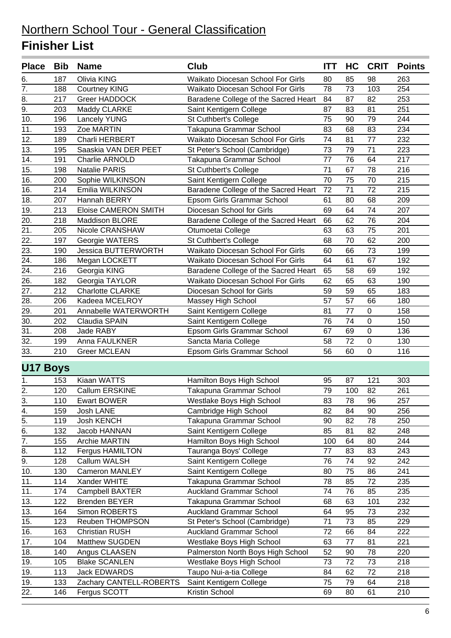| <b>Place</b>     | <b>Bib</b> | <b>Name</b>                 | <b>Club</b>                              | <b>ITT</b> | HC              | <b>CRIT</b> | <b>Points</b>    |
|------------------|------------|-----------------------------|------------------------------------------|------------|-----------------|-------------|------------------|
| 6.               | 187        | Olivia KING                 | Waikato Diocesan School For Girls        | 80         | 85              | 98          | 263              |
| 7.               | 188        | <b>Courtney KING</b>        | <b>Waikato Diocesan School For Girls</b> | 78         | 73              | 103         | 254              |
| 8.               | 217        | Greer HADDOCK               | Baradene College of the Sacred Heart     | 84         | 87              | 82          | 253              |
| $\overline{9}$ . | 203        | Maddy CLARKE                | Saint Kentigern College                  | 87         | 83              | 81          | 251              |
| 10.              | 196        | <b>Lancely YUNG</b>         | St Cuthbert's College                    | 75         | 90              | 79          | 244              |
| 11.              | 193        | Zoe MARTIN                  | Takapuna Grammar School                  | 83         | 68              | 83          | 234              |
| 12.              | 189        | Charli HERBERT              | Waikato Diocesan School For Girls        | 74         | 81              | 77          | 232              |
| 13.              | 195        | Saaskia VAN DER PEET        | St Peter's School (Cambridge)            | 73         | 79              | 71          | 223              |
| 14.              | 191        | Charlie ARNOLD              | Takapuna Grammar School                  | 77         | 76              | 64          | 217              |
| 15.              | 198        | <b>Natalie PARIS</b>        | St Cuthbert's College                    | 71         | 67              | 78          | 216              |
| 16.              | 200        | Sophie WILKINSON            | Saint Kentigern College                  | 70         | 75              | 70          | 215              |
| 16.              | 214        | Emilia WILKINSON            | Baradene College of the Sacred Heart     | 72         | 71              | 72          | 215              |
| 18.              | 207        | Hannah BERRY                | Epsom Girls Grammar School               | 61         | 80              | 68          | 209              |
| 19.              | 213        | <b>Eloise CAMERON SMITH</b> | Diocesan School for Girls                | 69         | 64              | 74          | 207              |
| 20.              | 218        | Maddison BLORE              | Baradene College of the Sacred Heart     | 66         | 62              | 76          | 204              |
| 21.              | 205        | Nicole CRANSHAW             | Otumoetai College                        | 63         | 63              | 75          | 201              |
| 22.              | 197        | Georgie WATERS              | St Cuthbert's College                    | 68         | 70              | 62          | 200              |
| 23.              | 190        | <b>Jessica BUTTERWORTH</b>  | Waikato Diocesan School For Girls        | 60         | 66              | 73          | 199              |
| 24.              | 186        | Megan LOCKETT               | Waikato Diocesan School For Girls        | 64         | 61              | 67          | 192              |
| 24.              | 216        | Georgia KING                | Baradene College of the Sacred Heart     | 65         | 58              | 69          | 192              |
| 26.              | 182        | Georgia TAYLOR              | Waikato Diocesan School For Girls        | 62         | 65              | 63          | 190              |
| 27.              | 212        | <b>Charlotte CLARKE</b>     | Diocesan School for Girls                | 59         | 59              | 65          | 183              |
| 28.              | 206        | Kadeea MCELROY              | Massey High School                       | 57         | 57              | 66          | 180              |
| 29.              | 201        | Annabelle WATERWORTH        | Saint Kentigern College                  | 81         | 77              | $\pmb{0}$   | 158              |
| 30.              | 202        | Claudia SPAIN               | Saint Kentigern College                  | 76         | 74              | $\mathbf 0$ | 150              |
| 31.              | 208        | Jade RABY                   | Epsom Girls Grammar School               | 67         | 69              | 0           | 136              |
| 32.              | 199        | Anna FAULKNER               | Sancta Maria College                     | 58         | 72              | $\pmb{0}$   | 130              |
| 33.              | 210        | <b>Greer MCLEAN</b>         | Epsom Girls Grammar School               | 56         | 60              | $\mathbf 0$ | 116              |
| <b>U17 Boys</b>  |            |                             |                                          |            |                 |             |                  |
| 1.               | 153        | Kiaan WATTS                 | Hamilton Boys High School                | 95         | 87              | 121         | 303              |
| 2.               | 120        | Callum ERSKINE              | Takapuna Grammar School                  | 79         | 100             | 82          | 261              |
| $\frac{3}{4}$    | 110        | <b>Ewart BOWER</b>          | Westlake Boys High School                | 83         | $\overline{78}$ | 96          | $\overline{257}$ |
|                  | 159        | Josh LANE                   | Cambridge High School                    | 82         | 84              | 90          | 256              |
| 5.               | 119        | Josh KENCH                  | Takapuna Grammar School                  | 90         | 82              | 78          | 250              |
| 6.               | 132        | Jacob HANNAN                | Saint Kentigern College                  | 85         | 81              | 82          | 248              |
| $\overline{7}$ . | 155        | Archie MARTIN               | Hamilton Boys High School                | 100        | 64              | 80          | 244              |
| 8.               | 112        | Fergus HAMILTON             | Tauranga Boys' College                   | 77         | 83              | 83          | 243              |
| 9.               | 128        | Callum WALSH                | Saint Kentigern College                  | 76         | 74              | 92          | 242              |
| 10.              | 130        | Cameron MANLEY              | Saint Kentigern College                  | 80         | 75              | 86          | 241              |
| 11.              | 114        | Xander WHITE                | Takapuna Grammar School                  | 78         | 85              | 72          | 235              |
| 11.              | 174        | Campbell BAXTER             | <b>Auckland Grammar School</b>           | 74         | 76              | 85          | 235              |
| 13.              | 122        | <b>Brenden BEYER</b>        | Takapuna Grammar School                  | 68         | 63              | 101         | 232              |
| 13.              | 164        | Simon ROBERTS               | <b>Auckland Grammar School</b>           | 64         | 95              | 73          | 232              |
| 15.              | 123        | Reuben THOMPSON             | St Peter's School (Cambridge)            | 71         | 73              | 85          | 229              |
| 16.              | 163        | <b>Christian RUSH</b>       | <b>Auckland Grammar School</b>           | 72         | 66              | 84          | 222              |
| 17.              | 104        | Matthew SUGDEN              | Westlake Boys High School                | 63         | 77              | 81          | 221              |
| 18.              | 140        | Angus CLAASEN               | Palmerston North Boys High School        | 52         | 90              | 78          | 220              |
| 19.              | 105        | <b>Blake SCANLEN</b>        | Westlake Boys High School                | 73         | 72              | 73          | 218              |
| 19.              | 113        | Jack EDWARDS                | Taupo Nui-a-tia College                  | 84         | 62              | 72          | 218              |
| 19.              | 133        | Zachary CANTELL-ROBERTS     | Saint Kentigern College                  | 75         | 79              | 64          | 218              |
| 22.              | 146        | Fergus SCOTT                | Kristin School                           | 69         | 80              | 61          | 210              |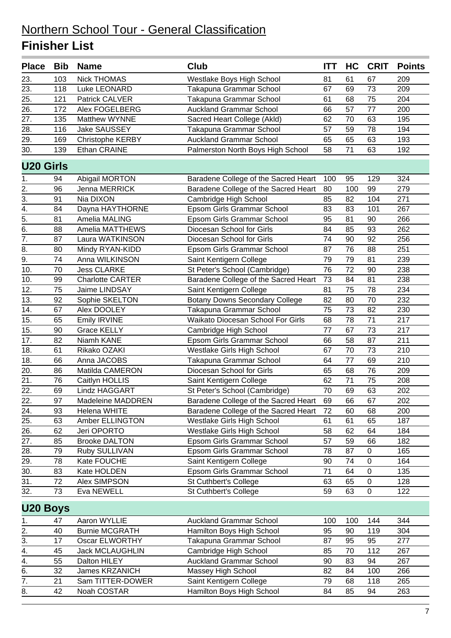| <b>Place</b>     | <b>Bib</b> | <b>Name</b>              | Club                                  | <b>ITT</b> | HC  | <b>CRIT</b> | <b>Points</b> |
|------------------|------------|--------------------------|---------------------------------------|------------|-----|-------------|---------------|
| 23.              | 103        | <b>Nick THOMAS</b>       | Westlake Boys High School             | 81         | 61  | 67          | 209           |
| 23.              | 118        | Luke LEONARD             | Takapuna Grammar School               | 67         | 69  | 73          | 209           |
| 25.              | 121        | Patrick CALVER           | Takapuna Grammar School               | 61         | 68  | 75          | 204           |
| 26.              | 172        | Alex FOGELBERG           | <b>Auckland Grammar School</b>        | 66         | 57  | 77          | 200           |
| 27.              | 135        | Matthew WYNNE            | Sacred Heart College (Akld)           | 62         | 70  | 63          | 195           |
| 28.              | 116        | Jake SAUSSEY             | Takapuna Grammar School               | 57         | 59  | 78          | 194           |
| 29.              | 169        | Christophe KERBY         | <b>Auckland Grammar School</b>        | 65         | 65  | 63          | 193           |
| 30.              | 139        | Ethan CRAINE             | Palmerston North Boys High School     | 58         | 71  | 63          | 192           |
| <b>U20 Girls</b> |            |                          |                                       |            |     |             |               |
| 1.               | 94         | Abigail MORTON           | Baradene College of the Sacred Heart  | 100        | 95  | 129         | 324           |
| 2.               | 96         | Jenna MERRICK            | Baradene College of the Sacred Heart  | 80         | 100 | 99          | 279           |
| $\overline{3}$ . | 91         | Nia DIXON                | Cambridge High School                 | 85         | 82  | 104         | 271           |
| 4.               | 84         | Dayna HAYTHORNE          | Epsom Girls Grammar School            | 83         | 83  | 101         | 267           |
| 5.               | 81         | Amelia MALING            | Epsom Girls Grammar School            | 95         | 81  | 90          | 266           |
| 6.               | 88         | Amelia MATTHEWS          | Diocesan School for Girls             | 84         | 85  | 93          | 262           |
| $\overline{7}$ . | 87         | Laura WATKINSON          | Diocesan School for Girls             | 74         | 90  | 92          | 256           |
| 8.               | 80         | Mindy RYAN-KIDD          | Epsom Girls Grammar School            | 87         | 76  | 88          | 251           |
| 9.               | 74         | Anna WILKINSON           | Saint Kentigern College               | 79         | 79  | 81          | 239           |
| 10.              | 70         | <b>Jess CLARKE</b>       | St Peter's School (Cambridge)         | 76         | 72  | 90          | 238           |
| 10.              | 99         | <b>Charlotte CARTER</b>  | Baradene College of the Sacred Heart  | 73         | 84  | 81          | 238           |
| 12.              | 75         | Jaime LINDSAY            | Saint Kentigern College               | 81         | 75  | 78          | 234           |
| 13.              | 92         | Sophie SKELTON           | <b>Botany Downs Secondary College</b> | 82         | 80  | 70          | 232           |
| 14.              | 67         | Alex DOOLEY              | Takapuna Grammar School               | 75         | 73  | 82          | 230           |
| 15.              | 65         | Emily IRVINE             | Waikato Diocesan School For Girls     | 68         | 78  | 71          | 217           |
| 15.              | 90         | <b>Grace KELLY</b>       | Cambridge High School                 | 77         | 67  | 73          | 217           |
| 17.              | 82         | Niamh KANE               | Epsom Girls Grammar School            | 66         | 58  | 87          | 211           |
| 18.              | 61         | Rikako OZAKI             | Westlake Girls High School            | 67         | 70  | 73          | 210           |
| 18.              | 66         | Anna JACOBS              | Takapuna Grammar School               | 64         | 77  | 69          | 210           |
| 20.              | 86         | Matilda CAMERON          | Diocesan School for Girls             | 65         | 68  | 76          | 209           |
| 21.              | 76         | Caitlyn HOLLIS           | Saint Kentigern College               | 62         | 71  | 75          | 208           |
| 22.              | 69         | Lindz HAGGART            | St Peter's School (Cambridge)         | 70         | 69  | 63          | 202           |
| 22.              | 97         | <b>Madeleine MADDREN</b> | Baradene College of the Sacred Heart  | 69         | 66  | 67          | 202           |
| 24.              | 93         | <b>Helena WHITE</b>      | Baradene College of the Sacred Heart  | 72         | 60  | 68          | 200           |
| 25.              | 63         | Amber ELLINGTON          | Westlake Girls High School            | 61         | 61  | 65          | 187           |
| 26.              | 62         | Jeri OPORTO              | Westlake Girls High School            | 58         | 62  | 64          | 184           |
| 27.              | 85         | <b>Brooke DALTON</b>     | Epsom Girls Grammar School            | 57         | 59  | 66          | 182           |
| 28.              | 79         | Ruby SULLIVAN            | Epsom Girls Grammar School            | 78         | 87  | 0           | 165           |
| 29.              | 78         | Kate FOUCHE              | Saint Kentigern College               | 90         | 74  | $\pmb{0}$   | 164           |
| 30.              | 83         | Kate HOLDEN              | Epsom Girls Grammar School            | 71         | 64  | 0           | 135           |
| 31.              | 72         | Alex SIMPSON             | St Cuthbert's College                 | 63         | 65  | 0           | 128           |
| 32.              | 73         | Eva NEWELL               | St Cuthbert's College                 | 59         | 63  | $\pmb{0}$   | 122           |
| <b>U20 Boys</b>  |            |                          |                                       |            |     |             |               |
| 1.               | 47         | Aaron WYLLIE             | <b>Auckland Grammar School</b>        | 100        | 100 | 144         | 344           |
| $\overline{2}$ . | 40         | <b>Burnie MCGRATH</b>    | Hamilton Boys High School             | 95         | 90  | 119         | 304           |
| 3.               | 17         | <b>Oscar ELWORTHY</b>    | Takapuna Grammar School               | 87         | 95  | 95          | 277           |
| 4.               | 45         | <b>Jack MCLAUGHLIN</b>   | Cambridge High School                 | 85         | 70  | 112         | 267           |
| 4.               | 55         | Dalton HILEY             | <b>Auckland Grammar School</b>        | 90         | 83  | 94          | 267           |
| 6.               | 32         | <b>James KRZANICH</b>    | Massey High School                    | 82         | 84  | 100         | 266           |
| 7.               | 21         | Sam TITTER-DOWER         | Saint Kentigern College               | 79         | 68  | 118         | 265           |
| 8.               | 42         | Noah COSTAR              | Hamilton Boys High School             | 84         | 85  | 94          | 263           |
|                  |            |                          |                                       |            |     |             |               |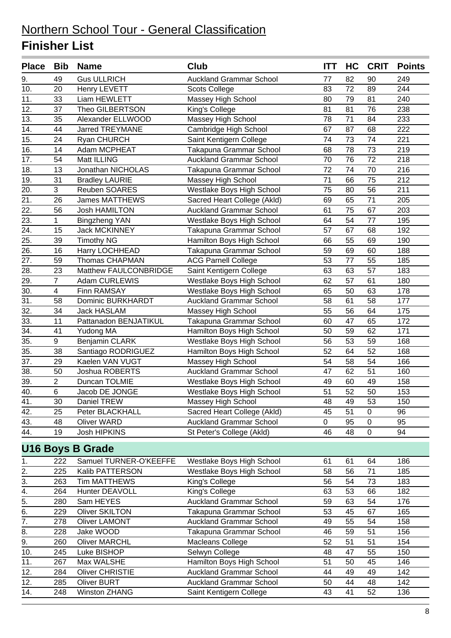| <b>Place</b>      | Bib            | <b>Name</b>              | <b>Club</b>                    | <b>ITT</b>  | HC | <b>CRIT</b> | <b>Points</b> |
|-------------------|----------------|--------------------------|--------------------------------|-------------|----|-------------|---------------|
| 9.                | 49             | <b>Gus ULLRICH</b>       | <b>Auckland Grammar School</b> | 77          | 82 | 90          | 249           |
| 10.               | 20             | Henry LEVETT             | <b>Scots College</b>           | 83          | 72 | 89          | 244           |
| 11.               | 33             | Liam HEWLETT             | Massey High School             | 80          | 79 | 81          | 240           |
| 12.               | 37             | Theo GILBERTSON          | King's College                 | 81          | 81 | 76          | 238           |
| 13.               | 35             | Alexander ELLWOOD        | Massey High School             | 78          | 71 | 84          | 233           |
| 14.               | 44             | <b>Jarred TREYMANE</b>   | Cambridge High School          | 67          | 87 | 68          | 222           |
| 15.               | 24             | Ryan CHURCH              | Saint Kentigern College        | 74          | 73 | 74          | 221           |
| 16.               | 14             | Adam MCPHEAT             | Takapuna Grammar School        | 68          | 78 | 73          | 219           |
| 17.               | 54             | Matt ILLING              | <b>Auckland Grammar School</b> | 70          | 76 | 72          | 218           |
| 18.               | 13             | Jonathan NICHOLAS        | Takapuna Grammar School        | 72          | 74 | 70          | 216           |
| 19.               | 31             | <b>Bradley LAURIE</b>    | Massey High School             | 71          | 66 | 75          | 212           |
| 20.               | 3              | Reuben SOARES            | Westlake Boys High School      | 75          | 80 | 56          | 211           |
| 21.               | 26             | <b>James MATTHEWS</b>    | Sacred Heart College (Akld)    | 69          | 65 | 71          | 205           |
| 22.               | 56             | <b>Josh HAMILTON</b>     | <b>Auckland Grammar School</b> | 61          | 75 | 67          | 203           |
| 23.               | 1              | Bingzheng YAN            | Westlake Boys High School      | 64          | 54 | 77          | 195           |
| 24.               | 15             | <b>Jack MCKINNEY</b>     | Takapuna Grammar School        | 57          | 67 | 68          | 192           |
| 25.               | 39             | <b>Timothy NG</b>        | Hamilton Boys High School      | 66          | 55 | 69          | 190           |
| $\overline{26}$ . | 16             | Harry LOCHHEAD           | Takapuna Grammar School        | 59          | 69 | 60          | 188           |
| 27.               | 59             | <b>Thomas CHAPMAN</b>    | <b>ACG Parnell College</b>     | 53          | 77 | 55          | 185           |
| 28.               | 23             | Matthew FAULCONBRIDGE    | Saint Kentigern College        | 63          | 63 | 57          | 183           |
| 29.               | $\overline{7}$ | Adam CURLEWIS            | Westlake Boys High School      | 62          | 57 | 61          | 180           |
| 30.               | 4              | Finn RAMSAY              | Westlake Boys High School      | 65          | 50 | 63          | 178           |
| 31.               | 58             | <b>Dominic BURKHARDT</b> | <b>Auckland Grammar School</b> | 58          | 61 | 58          | 177           |
| 32.               | 34             | <b>Jack HASLAM</b>       | Massey High School             | 55          | 56 | 64          | 175           |
| 33.               | 11             | Pattanadon BENJATIKUL    | Takapuna Grammar School        | 60          | 47 | 65          | 172           |
| $\overline{34}$ . | 41             | Yudong MA                | Hamilton Boys High School      | 50          | 59 | 62          | 171           |
| 35.               | 9              | Benjamin CLARK           | Westlake Boys High School      | 56          | 53 | 59          | 168           |
| 35.               | 38             | Santiago RODRIGUEZ       | Hamilton Boys High School      | 52          | 64 | 52          | 168           |
| 37.               | 29             | Kaelen VAN VUGT          | Massey High School             | 54          | 58 | 54          | 166           |
| 38.               | 50             | Joshua ROBERTS           | <b>Auckland Grammar School</b> | 47          | 62 | 51          | 160           |
| 39.               | $\overline{2}$ | Duncan TOLMIE            | Westlake Boys High School      | 49          | 60 | 49          | 158           |
| 40.               | 6              | Jacob DE JONGE           | Westlake Boys High School      | 51          | 52 | 50          | 153           |
| 41.               | 30             | Daniel TREW              | Massey High School             | 48          | 49 | 53          | 150           |
| 42.               | 25             | Peter BLACKHALL          | Sacred Heart College (Akld)    | 45          | 51 | $\mathbf 0$ | 96            |
| 43.               | 48             | <b>Oliver WARD</b>       | <b>Auckland Grammar School</b> | $\mathbf 0$ | 95 | $\pmb{0}$   | 95            |
| 44.               | 19             | Josh HIPKINS             | St Peter's College (Akld)      | 46          | 48 | $\pmb{0}$   | 94            |
|                   |                | <b>U16 Boys B Grade</b>  |                                |             |    |             |               |
| 1.                | 222            | Samuel TURNER-O'KEEFFE   | Westlake Boys High School      | 61          | 61 | 64          | 186           |
| 2.                | 225            | Kalib PATTERSON          | Westlake Boys High School      | 58          | 56 | 71          | 185           |
| $\overline{3}$ .  | 263            | <b>Tim MATTHEWS</b>      | King's College                 | 56          | 54 | 73          | 183           |
| 4.                | 264            | Hunter DEAVOLL           | King's College                 | 63          | 53 | 66          | 182           |
| $\overline{5}$ .  | 280            | Sam HEYES                | <b>Auckland Grammar School</b> | 59          | 63 | 54          | 176           |
| 6.                | 229            | <b>Oliver SKILTON</b>    | Takapuna Grammar School        | 53          | 45 | 67          | 165           |
| $\overline{7}$ .  | 278            | Oliver LAMONT            | <b>Auckland Grammar School</b> | 49          | 55 | 54          | 158           |
| 8.                | 228            | Jake WOOD                | Takapuna Grammar School        | 46          | 59 | 51          | 156           |
| $\overline{9}$ .  | 260            | <b>Oliver MARCHL</b>     | Macleans College               | 52          | 51 | 51          | 154           |
| 10.               | 245            | Luke BISHOP              | Selwyn College                 | 48          | 47 | 55          | 150           |
| 11.               | 267            | Max WALSHE               | Hamilton Boys High School      | 51          | 50 | 45          | 146           |
| 12.               | 284            | <b>Oliver CHRISTIE</b>   | <b>Auckland Grammar School</b> | 44          | 49 | 49          | 142           |
| $\overline{12.}$  | 285            | <b>Oliver BURT</b>       | <b>Auckland Grammar School</b> | 50          | 44 | 48          | 142           |
| 14.               | 248            | <b>Winston ZHANG</b>     | Saint Kentigern College        | 43          | 41 | 52          | 136           |
|                   |                |                          |                                |             |    |             |               |